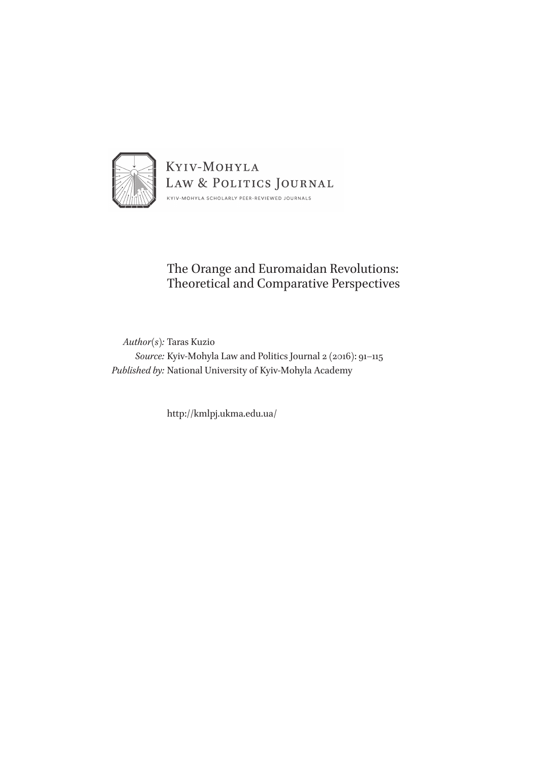

## The Orange and Euromaidan Revolutions: Theoretical and Comparative Perspectives

*Author(s):* Taras Kuzio *Source:* Kyiv-Mohyla Law and Politics Journal 2 (2016): 91–115 *Published by:* National University of Kyiv-Mohyla Academy

http://kmlpj.ukma.edu.ua/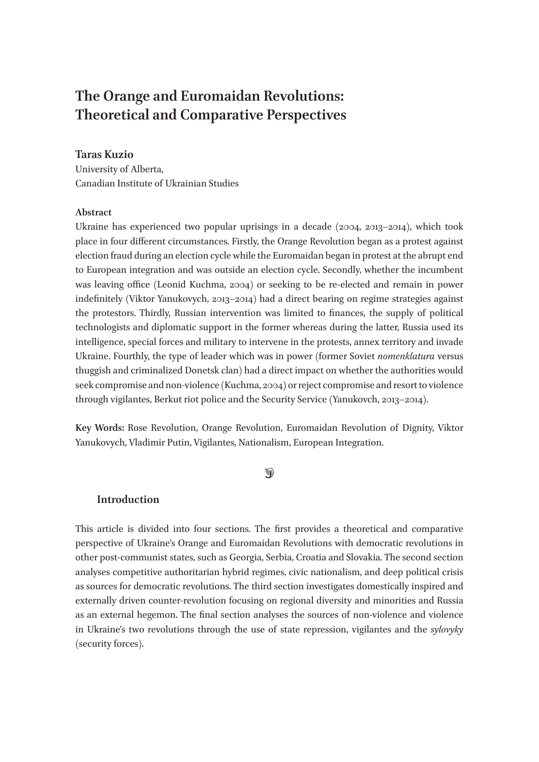# **The Orange and Euromaidan Revolutions: Theoretical and Comparative Perspectives**

## **Taras Kuzio**

University of Alberta, Canadian Institute of Ukrainian Studies

### **Abstract**

Ukraine has experienced two popular uprisings in a decade (2004, 2013–2014), which took place in four different circumstances. Firstly, the Orange Revolution began as a protest against election fraud during an election cycle while the Euromaidan began in protest at the abrupt end to European integration and was outside an election cycle. Secondly, whether the incumbent was leaving office (Leonid Kuchma, 2004) or seeking to be re-elected and remain in power indefinitely (Viktor Yanukovych, 2013–2014) had a direct bearing on regime strategies against the protestors. Thirdly, Russian intervention was limited to finances, the supply of political technologists and diplomatic support in the former whereas during the latter, Russia used its intelligence, special forces and military to intervene in the protests, annex territory and invade Ukraine. Fourthly, the type of leader which was in power (former Soviet *nomenklatura* versus thuggish and criminalized Donetsk clan) had a direct impact on whether the authorities would seek compromise and non-violence (Kuchma, 2004) or reject compromise and resort to violence through vigilantes, Berkut riot police and the Security Service (Yanukovch, 2013–2014).

**Key Words:** Rose Revolution, Orange Revolution, Euromaidan Revolution of Dignity, Viktor Yanukovych, Vladimir Putin, Vigilantes, Nationalism, European Integration.

## $\mathcal{D}$

## **Introduction**

This article is divided into four sections. The first provides a theoretical and comparative perspective of Ukraine's Orange and Euromaidan Revolutions with democratic revolutions in other post-communist states, such as Georgia, Serbia, Croatia and Slovakia. The second section analyses competitive authoritarian hybrid regimes, civic nationalism, and deep political crisis as sources for democratic revolutions. The third section investigates domestically inspired and externally driven counter-revolution focusing on regional diversity and minorities and Russia as an external hegemon. The final section analyses the sources of non-violence and violence in Ukraine's two revolutions through the use of state repression, vigilantes and the *sylovyky*  (security forces).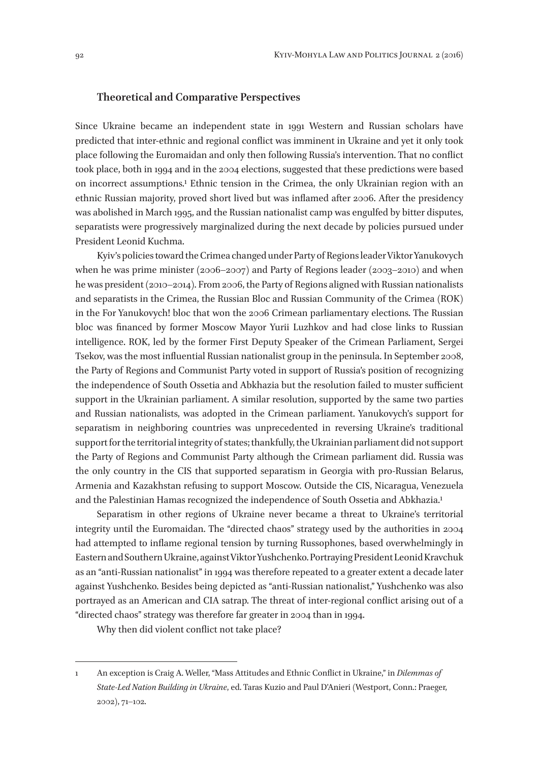#### **Theoretical and Comparative Perspectives**

Since Ukraine became an independent state in 1991 Western and Russian scholars have predicted that inter-ethnic and regional conflict was imminent in Ukraine and yet it only took place following the Euromaidan and only then following Russia's intervention. That no conflict took place, both in 1994 and in the 2004 elections, suggested that these predictions were based on incorrect assumptions.1 Ethnic tension in the Crimea, the only Ukrainian region with an ethnic Russian majority, proved short lived but was inflamed after 2006. After the presidency was abolished in March 1995, and the Russian nationalist camp was engulfed by bitter disputes, separatists were progressively marginalized during the next decade by policies pursued under President Leonid Kuchma.

Kyiv's policies toward the Crimea changed under Party of Regions leader Viktor Yanukovych when he was prime minister (2006–2007) and Party of Regions leader (2003–2010) and when he was president (2010–2014). From 2006, the Party of Regions aligned with Russian nationalists and separatists in the Crimea, the Russian Bloc and Russian Community of the Crimea (ROK) in the For Yanukovych! bloc that won the 2006 Crimean parliamentary elections. The Russian bloc was financed by former Moscow Mayor Yurii Luzhkov and had close links to Russian intelligence. ROK, led by the former First Deputy Speaker of the Crimean Parliament, Sergei Tsekov, was the most influential Russian nationalist group in the peninsula. In September 2008, the Party of Regions and Communist Party voted in support of Russia's position of recognizing the independence of South Ossetia and Abkhazia but the resolution failed to muster sufficient support in the Ukrainian parliament. A similar resolution, supported by the same two parties and Russian nationalists, was adopted in the Crimean parliament. Yanukovych's support for separatism in neighboring countries was unprecedented in reversing Ukraine's traditional support for the territorial integrity of states; thankfully, the Ukrainian parliament did not support the Party of Regions and Communist Party although the Crimean parliament did. Russia was the only country in the CIS that supported separatism in Georgia with pro-Russian Belarus, Armenia and Kazakhstan refusing to support Moscow. Outside the CIS, Nicaragua, Venezuela and the Palestinian Hamas recognized the independence of South Ossetia and Abkhazia.1

Separatism in other regions of Ukraine never became a threat to Ukraine's territorial integrity until the Euromaidan. The "directed chaos" strategy used by the authorities in 2004 had attempted to inflame regional tension by turning Russophones, based overwhelmingly in Eastern and Southern Ukraine, against Viktor Yushchenko. Portraying President Leonid Kravchuk as an "anti-Russian nationalist" in 1994 was therefore repeated to a greater extent a decade later against Yushchenko. Besides being depicted as "anti-Russian nationalist," Yushchenko was also portrayed as an American and CIA satrap. The threat of inter-regional conflict arising out of a "directed chaos" strategy was therefore far greater in 2004 than in 1994.

Why then did violent conflict not take place?

<sup>1</sup> An exception is Craig A. Weller, "Mass Attitudes and Ethnic Conflict in Ukraine," in *Dilemmas of State-Led Nation Building in Ukraine*, ed. Taras Kuzio and Paul D'Anieri (Westport, Conn.: Praeger, 2002), 71–102.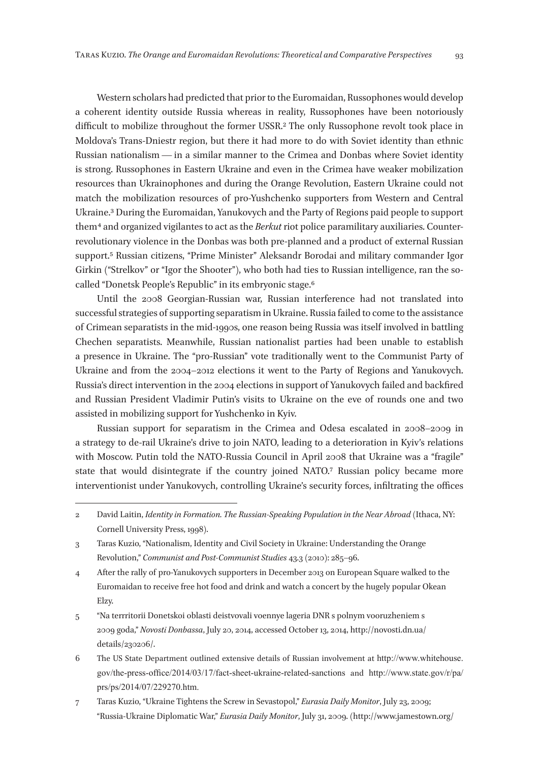Western scholars had predicted that prior to the Euromaidan, Russophones would develop a coherent identity outside Russia whereas in reality, Russophones have been notoriously difficult to mobilize throughout the former USSR.<sup>2</sup> The only Russophone revolt took place in Moldova's Trans-Dniestr region, but there it had more to do with Soviet identity than ethnic Russian nationalism — in a similar manner to the Crimea and Donbas where Soviet identity is strong. Russophones in Eastern Ukraine and even in the Crimea have weaker mobilization resources than Ukrainophones and during the Orange Revolution, Eastern Ukraine could not match the mobilization resources of pro-Yushchenko supporters from Western and Central Ukraine.3 During the Euromaidan, Yanukovych and the Party of Regions paid people to support them 4 and organized vigilantes to act as the *Berkut* riot police paramilitary auxiliaries. Counterrevolutionary violence in the Donbas was both pre-planned and a product of external Russian support.5 Russian citizens, "Prime Minister" Aleksandr Borodai and military commander Igor Girkin ("Strelkov" or "Igor the Shooter"), who both had ties to Russian intelligence, ran the socalled "Donetsk People's Republic" in its embryonic stage.6

Until the 2008 Georgian-Russian war, Russian interference had not translated into successful strategies of supporting separatism in Ukraine. Russia failed to come to the assistance of Crimean separatists in the mid‑1990s, one reason being Russia was itself involved in battling Chechen separatists. Meanwhile, Russian nationalist parties had been unable to establish a presence in Ukraine. The "pro-Russian" vote traditionally went to the Communist Party of Ukraine and from the 2004–2012 elections it went to the Party of Regions and Yanukovych. Russia's direct intervention in the 2004 elections in support of Yanukovych failed and backfired and Russian President Vladimir Putin's visits to Ukraine on the eve of rounds one and two assisted in mobilizing support for Yushchenko in Kyiv.

Russian support for separatism in the Crimea and Odesa escalated in 2008–2009 in a strategy to de-rail Ukraine's drive to join NATO, leading to a deterioration in Kyiv's relations with Moscow. Putin told the NATO-Russia Council in April 2008 that Ukraine was a "fragile" state that would disintegrate if the country joined NATO.7 Russian policy became more interventionist under Yanukovych, controlling Ukraine's security forces, infiltrating the offices

- 4 After the rally of pro-Yanukovych supporters in December 2013 on European Square walked to the Euromaidan to receive free hot food and drink and watch a concert by the hugely popular Okean Elzy.
- 5 "Na terrritorii Donetskoi oblasti deistvovali voennye lageria DNR s polnym vooruzheniem s 2009 goda," *Novosti Donbassa*, July 20, 2014, accessed October 13, 2014, http://novosti.dn.ua/ details/230206/.
- 6 The US State Department outlined extensive details of Russian involvement at http://www.whitehouse. gov/the-press-office/2014/03/17/fact-sheet-ukraine-related-sanctions and http://www.state.gov/r/pa/ prs/ps/2014/07/229270.htm.
- 7 Taras Kuzio, "Ukraine Tightens the Screw in Sevastopol," *Eurasia Daily Monitor*, July 23, 2009; "Russia-Ukraine Diplomatic War," *Eurasia Daily Monitor*, July 31, 2009. (http://www.jamestown.org/

<sup>2</sup> David Laitin, *Identity in Formation. The Russian-Speaking Population in the Near Abroad* (Ithaca, NY: Cornell University Press, 1998).

<sup>3</sup> Taras Kuzio, "Nationalism, Identity and Civil Society in Ukraine: Understanding the Orange Revolution," *Communist and Post-Communist Studies* 43.3 (2010): 285–96.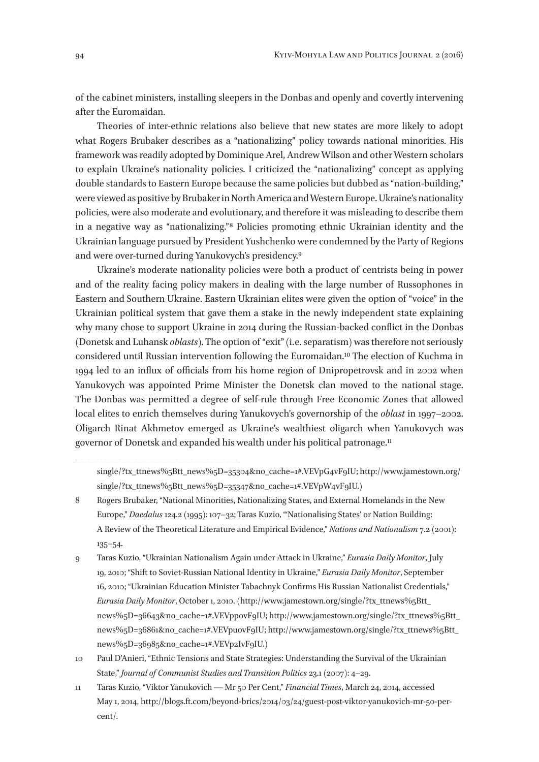of the cabinet ministers, installing sleepers in the Donbas and openly and covertly intervening after the Euromaidan.

Theories of inter-ethnic relations also believe that new states are more likely to adopt what Rogers Brubaker describes as a "nationalizing" policy towards national minorities. His framework was readily adopted by Dominique Arel, Andrew Wilson and other Western scholars to explain Ukraine's nationality policies. I criticized the "nationalizing" concept as applying double standards to Eastern Europe because the same policies but dubbed as "nation-building," were viewed as positive by Brubaker in North America and Western Europe. Ukraine's nationality policies, were also moderate and evolutionary, and therefore it was misleading to describe them in a negative way as "nationalizing." 8 Policies promoting ethnic Ukrainian identity and the Ukrainian language pursued by President Yushchenko were condemned by the Party of Regions and were over-turned during Yanukovych's presidency.9

Ukraine's moderate nationality policies were both a product of centrists being in power and of the reality facing policy makers in dealing with the large number of Russophones in Eastern and Southern Ukraine. Eastern Ukrainian elites were given the option of "voice" in the Ukrainian political system that gave them a stake in the newly independent state explaining why many chose to support Ukraine in 2014 during the Russian-backed conflict in the Donbas (Donetsk and Luhansk *oblasts*). The option of "exit" (i. e. separatism) was therefore not seriously considered until Russian intervention following the Euromaidan.10 The election of Kuchma in 1994 led to an influx of officials from his home region of Dnipropetrovsk and in 2002 when Yanukovych was appointed Prime Minister the Donetsk clan moved to the national stage. The Donbas was permitted a degree of self-rule through Free Economic Zones that allowed local elites to enrich themselves during Yanukovych's governorship of the *oblast* in 1997–2002. Oligarch Rinat Akhmetov emerged as Ukraine's wealthiest oligarch when Yanukovych was governor of Donetsk and expanded his wealth under his political patronage.11

single/?tx\_ttnews%5Btt\_news%5D=35304&no\_cache=1#.VEVpG4vF9IU; http://www.jamestown.org/ single/?tx\_ttnews%5Btt\_news%5D=35347&no\_cache=1#.VEVpW4vF9IU.)

<sup>8</sup> Rogers Brubaker, "National Minorities, Nationalizing States, and External Homelands in the New Europe," *Daedalus* 124.2 (1995): 107–32; Taras Kuzio, "'Nationalising States' or Nation Building: A Review of the Theoretical Literature and Empirical Evidence," *Nations and Nationalism* 7.2 (2001): 135–54.

<sup>9</sup> Taras Kuzio, "Ukrainian Nationalism Again under Attack in Ukraine," *Eurasia Daily Monitor*, July 19, 2010; "Shift to Soviet-Russian National Identity in Ukraine," *Eurasia Daily Monitor*, September 16, 2010; "Ukrainian Education Minister Tabachnyk Confirms His Russian Nationalist Credentials," *Eurasia Daily Monitor*, October 1, 2010. (http://www.jamestown.org/single/?tx\_ttnews%5Btt\_ news%5D=36643&no\_cache=1#.VEVppovF9IU; http://www.jamestown.org/single/?tx\_ttnews%5Btt\_ news%5D=36861&no\_cache=1#.VEVpuovF9IU; http://www.jamestown.org/single/?tx\_ttnews%5Btt\_ news%5D=36985&no\_cache=1#.VEVp2IvF9IU.)

<sup>10</sup> Paul D'Anieri, "Ethnic Tensions and State Strategies: Understanding the Survival of the Ukrainian State," *Journal of Communist Studies and Transition Politics* 23.1 (2007): 4–29.

<sup>11</sup> Taras Kuzio, "Viktor Yanukovich — Mr 50 Per Cent," *Financial Times*, March 24, 2014, accessed May 1, 2014, http://blogs.ft.com/beyond-brics/2014/03/24/guest-post-viktor-yanukovich-mr-50-percent/.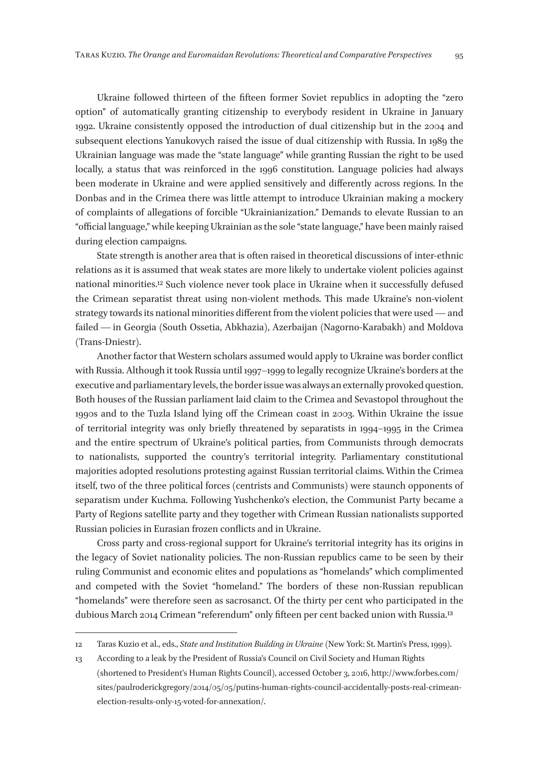Ukraine followed thirteen of the fifteen former Soviet republics in adopting the "zero option" of automatically granting citizenship to everybody resident in Ukraine in January 1992. Ukraine consistently opposed the introduction of dual citizenship but in the 2004 and subsequent elections Yanukovych raised the issue of dual citizenship with Russia. In 1989 the Ukrainian language was made the "state language" while granting Russian the right to be used locally, a status that was reinforced in the 1996 constitution. Language policies had always been moderate in Ukraine and were applied sensitively and differently across regions. In the Donbas and in the Crimea there was little attempt to introduce Ukrainian making a mockery of complaints of allegations of forcible "Ukrainianization." Demands to elevate Russian to an "official language," while keeping Ukrainian as the sole "state language," have been mainly raised during election campaigns.

State strength is another area that is often raised in theoretical discussions of inter-ethnic relations as it is assumed that weak states are more likely to undertake violent policies against national minorities.12 Such violence never took place in Ukraine when it successfully defused the Crimean separatist threat using non-violent methods. This made Ukraine's non-violent strategy towards its national minorities different from the violent policies that were used — and failed — in Georgia (South Ossetia, Abkhazia), Azerbaijan (Nagorno-Karabakh) and Moldova (Trans-Dniestr).

Another factor that Western scholars assumed would apply to Ukraine was border conflict with Russia. Although it took Russia until 1997–1999 to legally recognize Ukraine's borders at the executive and parliamentary levels, the border issue was always an externally provoked question. Both houses of the Russian parliament laid claim to the Crimea and Sevastopol throughout the 1990s and to the Tuzla Island lying off the Crimean coast in 2003. Within Ukraine the issue of territorial integrity was only briefly threatened by separatists in 1994–1995 in the Crimea and the entire spectrum of Ukraine's political parties, from Communists through democrats to nationalists, supported the country's territorial integrity. Parliamentary constitutional majorities adopted resolutions protesting against Russian territorial claims. Within the Crimea itself, two of the three political forces (centrists and Communists) were staunch opponents of separatism under Kuchma. Following Yushchenko's election, the Communist Party became a Party of Regions satellite party and they together with Crimean Russian nationalists supported Russian policies in Eurasian frozen conflicts and in Ukraine.

Cross party and cross-regional support for Ukraine's territorial integrity has its origins in the legacy of Soviet nationality policies. The non-Russian republics came to be seen by their ruling Communist and economic elites and populations as "homelands" which complimented and competed with the Soviet "homeland." The borders of these non-Russian republican "homelands" were therefore seen as sacrosanct. Of the thirty per cent who participated in the dubious March 2014 Crimean "referendum" only fifteen per cent backed union with Russia.13

<sup>12</sup> Taras Kuzio et al., eds., *State and Institution Building in Ukraine* (New York: St. Martin's Press, 1999).

<sup>13</sup> According to a leak by the President of Russia's Council on Civil Society and Human Rights (shortened to President's Human Rights Council), accessed October 3, 2016, http://www.forbes.com/ sites/paulroderickgregory/2014/05/05/putins-human-rights-council-accidentally-posts-real-crimeanelection-results-only‑15-voted-for-annexation/.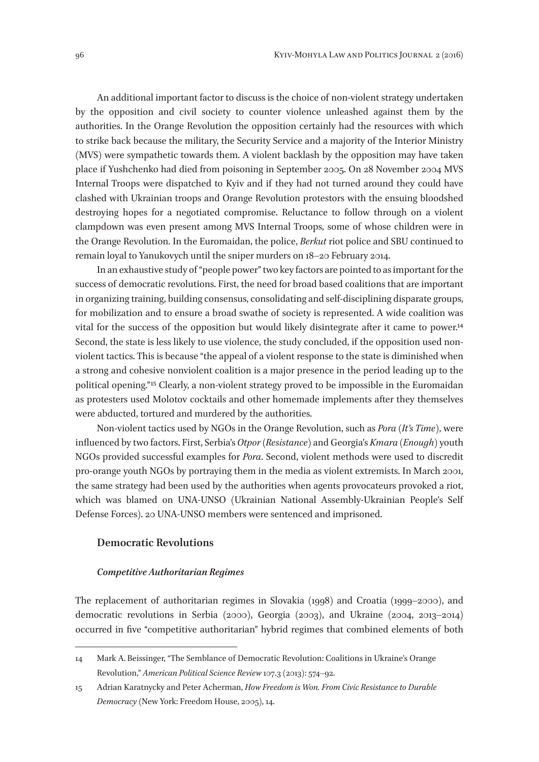An additional important factor to discuss is the choice of non-violent strategy undertaken by the opposition and civil society to counter violence unleashed against them by the authorities. In the Orange Revolution the opposition certainly had the resources with which to strike back because the military, the Security Service and a majority of the Interior Ministry (MVS) were sympathetic towards them. A violent backlash by the opposition may have taken place if Yushchenko had died from poisoning in September 2005. On 28 November 2004 MVS Internal Troops were dispatched to Kyiv and if they had not turned around they could have clashed with Ukrainian troops and Orange Revolution protestors with the ensuing bloodshed destroying hopes for a negotiated compromise. Reluctance to follow through on a violent clampdown was even present among MVS Internal Troops, some of whose children were in the Orange Revolution. In the Euromaidan, the police, *Berkut* riot police and SBU continued to remain loyal to Yanukovych until the sniper murders on 18–20 February 2014.

In an exhaustive study of "people power" two key factors are pointed to as important for the success of democratic revolutions. First, the need for broad based coalitions that are important in organizing training, building consensus, consolidating and self-disciplining disparate groups, for mobilization and to ensure a broad swathe of society is represented. A wide coalition was vital for the success of the opposition but would likely disintegrate after it came to power.14 Second, the state is less likely to use violence, the study concluded, if the opposition used nonviolent tactics. This is because "the appeal of a violent response to the state is diminished when a strong and cohesive nonviolent coalition is a major presence in the period leading up to the political opening." 15 Clearly, a non-violent strategy proved to be impossible in the Euromaidan as protesters used Molotov cocktails and other homemade implements after they themselves were abducted, tortured and murdered by the authorities.

Non-violent tactics used by NGOs in the Orange Revolution, such as *Pora* (*It's Time*), were influenced by two factors. First, Serbia's *Otpor (Resistance)* and Georgia's *Kmara* (*Enough*) youth NGOs provided successful examples for *Pora*. Second, violent methods were used to discredit pro-orange youth NGOs by portraying them in the media as violent extremists. In March 2001, the same strategy had been used by the authorities when agents provocateurs provoked a riot, which was blamed on UNA-UNSO (Ukrainian National Assembly-Ukrainian People's Self Defense Forces). 20 UNA-UNSO members were sentenced and imprisoned.

#### **Democratic Revolutions**

#### *Competitive Authoritarian Regimes*

The replacement of authoritarian regimes in Slovakia (1998) and Croatia (1999–2000), and democratic revolutions in Serbia (2000), Georgia (2003), and Ukraine (2004, 2013–2014) occurred in five "competitive authoritarian" hybrid regimes that combined elements of both

<sup>14</sup> Mark A. Beissinger, "The Semblance of Democratic Revolution: Coalitions in Ukraine's Orange Revolution," *American Political Science Review* 107.3 (2013): 574–92.

<sup>15</sup> Adrian Karatnycky and Peter Acherman, *How Freedom is Won. From Civic Resistance to Durable Democracy* (New York: Freedom House, 2005), 14.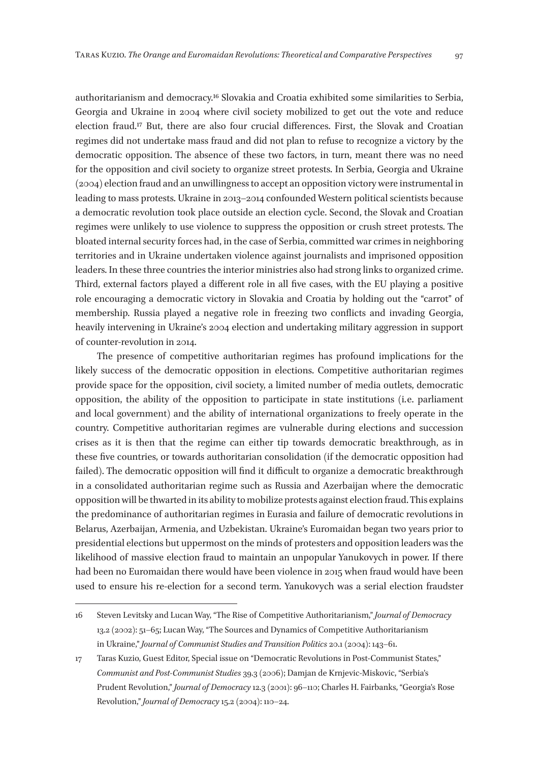authoritarianism and democracy.16 Slovakia and Croatia exhibited some similarities to Serbia, Georgia and Ukraine in 2004 where civil society mobilized to get out the vote and reduce election fraud.17 But, there are also four crucial differences. First, the Slovak and Croatian regimes did not undertake mass fraud and did not plan to refuse to recognize a victory by the democratic opposition. The absence of these two factors, in turn, meant there was no need for the opposition and civil society to organize street protests. In Serbia, Georgia and Ukraine (2004) election fraud and an unwillingness to accept an opposition victory were instrumental in leading to mass protests. Ukraine in 2013–2014 confounded Western political scientists because a democratic revolution took place outside an election cycle. Second, the Slovak and Croatian regimes were unlikely to use violence to suppress the opposition or crush street protests. The bloated internal security forces had, in the case of Serbia, committed war crimes in neighboring territories and in Ukraine undertaken violence against journalists and imprisoned opposition leaders. In these three countries the interior ministries also had strong links to organized crime. Third, external factors played a different role in all five cases, with the EU playing a positive role encouraging a democratic victory in Slovakia and Croatia by holding out the "carrot" of membership. Russia played a negative role in freezing two conflicts and invading Georgia, heavily intervening in Ukraine's 2004 election and undertaking military aggression in support of counter-revolution in 2014.

The presence of competitive authoritarian regimes has profound implications for the likely success of the democratic opposition in elections. Competitive authoritarian regimes provide space for the opposition, civil society, a limited number of media outlets, democratic opposition, the ability of the opposition to participate in state institutions (i. e. parliament and local government) and the ability of international organizations to freely operate in the country. Competitive authoritarian regimes are vulnerable during elections and succession crises as it is then that the regime can either tip towards democratic breakthrough, as in these five countries, or towards authoritarian consolidation (if the democratic opposition had failed). The democratic opposition will find it difficult to organize a democratic breakthrough in a consolidated authoritarian regime such as Russia and Azerbaijan where the democratic opposition will be thwarted in its ability to mobilize protests against election fraud. This explains the predominance of authoritarian regimes in Eurasia and failure of democratic revolutions in Belarus, Azerbaijan, Armenia, and Uzbekistan. Ukraine's Euromaidan began two years prior to presidential elections but uppermost on the minds of protesters and opposition leaders was the likelihood of massive election fraud to maintain an unpopular Yanukovych in power. If there had been no Euromaidan there would have been violence in 2015 when fraud would have been used to ensure his re-election for a second term. Yanukovych was a serial election fraudster

<sup>16</sup> Steven Levitsky and Lucan Way, "The Rise of Competitive Authoritarianism," *Journal of Democracy* 13.2 (2002): 51–65; Lucan Way, "The Sources and Dynamics of Competitive Authoritarianism in Ukraine," *Journal of Communist Studies and Transition Politics* 20.1 (2004): 143–61.

<sup>17</sup> Taras Kuzio, Guest Editor, Special issue on "Democratic Revolutions in Post-Communist States," *Communist and Post-Communist Studies* 39.3 (2006); Damjan de Krnjevic-Miskovic, "Serbia's Prudent Revolution," *Journal of Democracy* 12.3 (2001): 96–110; Charles H. Fairbanks, "Georgia's Rose Revolution," *Journal of Democracy* 15.2 (2004): 110–24.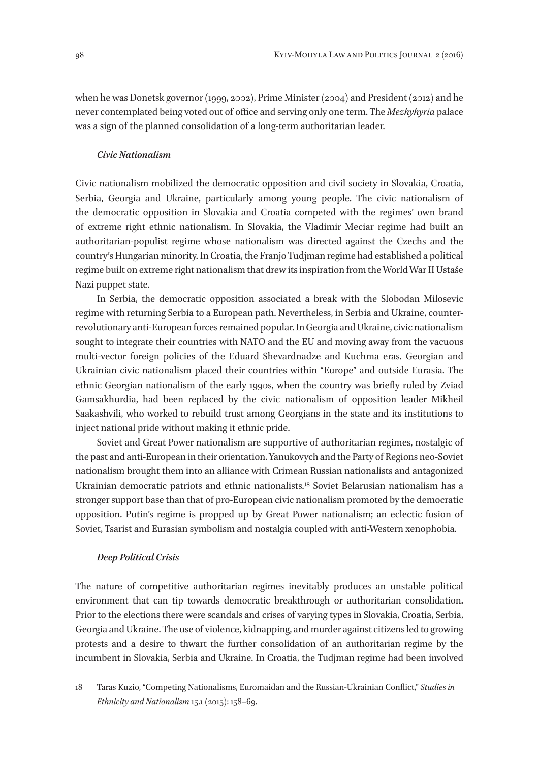when he was Donetsk governor (1999, 2002), Prime Minister (2004) and President (2012) and he never contemplated being voted out of office and serving only one term. The *Mezhyhyria* palace was a sign of the planned consolidation of a long-term authoritarian leader.

#### *Civic Nationalism*

Civic nationalism mobilized the democratic opposition and civil society in Slovakia, Croatia, Serbia, Georgia and Ukraine, particularly among young people. The civic nationalism of the democratic opposition in Slovakia and Croatia competed with the regimes' own brand of extreme right ethnic nationalism. In Slovakia, the Vladimir Meciar regime had built an authoritarian-populist regime whose nationalism was directed against the Czechs and the country's Hungarian minority. In Croatia, the Franjo Tudjman regime had established a political regime built on extreme right nationalism that drew its inspiration from the World War II Ustaše Nazi puppet state.

In Serbia, the democratic opposition associated a break with the Slobodan Milosevic regime with returning Serbia to a European path. Nevertheless, in Serbia and Ukraine, counterrevolutionary anti-European forces remained popular. In Georgia and Ukraine, civic nationalism sought to integrate their countries with NATO and the EU and moving away from the vacuous multi-vector foreign policies of the Eduard Shevardnadze and Kuchma eras. Georgian and Ukrainian civic nationalism placed their countries within "Europe" and outside Eurasia. The ethnic Georgian nationalism of the early 1990s, when the country was briefly ruled by Zviad Gamsakhurdia, had been replaced by the civic nationalism of opposition leader Mikheil Saakashvili, who worked to rebuild trust among Georgians in the state and its institutions to inject national pride without making it ethnic pride.

Soviet and Great Power nationalism are supportive of authoritarian regimes, nostalgic of the past and anti-European in their orientation. Yanukovych and the Party of Regions neo-Soviet nationalism brought them into an alliance with Crimean Russian nationalists and antagonized Ukrainian democratic patriots and ethnic nationalists.18 Soviet Belarusian nationalism has a stronger support base than that of pro-European civic nationalism promoted by the democratic opposition. Putin's regime is propped up by Great Power nationalism; an eclectic fusion of Soviet, Tsarist and Eurasian symbolism and nostalgia coupled with anti-Western xenophobia.

#### *Deep Political Crisis*

The nature of competitive authoritarian regimes inevitably produces an unstable political environment that can tip towards democratic breakthrough or authoritarian consolidation. Prior to the elections there were scandals and crises of varying types in Slovakia, Croatia, Serbia, Georgia and Ukraine. The use of violence, kidnapping, and murder against citizens led to growing protests and a desire to thwart the further consolidation of an authoritarian regime by the incumbent in Slovakia, Serbia and Ukraine. In Croatia, the Tudjman regime had been involved

<sup>18</sup> Taras Kuzio, "Competing Nationalisms, Euromaidan and the Russian-Ukrainian Conflict," *Studies in Ethnicity and Nationalism* 15.1 (2015): 158–69.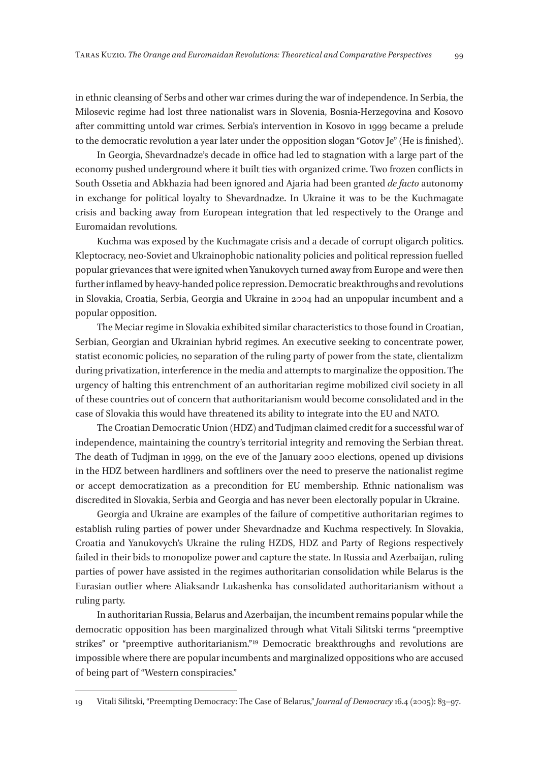in ethnic cleansing of Serbs and other war crimes during the war of independence. In Serbia, the Milosevic regime had lost three nationalist wars in Slovenia, Bosnia-Herzegovina and Kosovo after committing untold war crimes. Serbia's intervention in Kosovo in 1999 became a prelude to the democratic revolution a year later under the opposition slogan "Gotov Je" (He is finished).

In Georgia, Shevardnadze's decade in office had led to stagnation with a large part of the economy pushed underground where it built ties with organized crime. Two frozen conflicts in South Ossetia and Abkhazia had been ignored and Ajaria had been granted *de facto* autonomy in exchange for political loyalty to Shevardnadze. In Ukraine it was to be the Kuchmagate crisis and backing away from European integration that led respectively to the Orange and Euromaidan revolutions.

Kuchma was exposed by the Kuchmagate crisis and a decade of corrupt oligarch politics. Kleptocracy, neo-Soviet and Ukrainophobic nationality policies and political repression fuelled popular grievances that were ignited when Yanukovych turned away from Europe and were then further inflamed by heavy-handed police repression. Democratic breakthroughs and revolutions in Slovakia, Croatia, Serbia, Georgia and Ukraine in 2004 had an unpopular incumbent and a popular opposition.

The Meciar regime in Slovakia exhibited similar characteristics to those found in Croatian, Serbian, Georgian and Ukrainian hybrid regimes. An executive seeking to concentrate power, statist economic policies, no separation of the ruling party of power from the state, clientalizm during privatization, interference in the media and attempts to marginalize the opposition. The urgency of halting this entrenchment of an authoritarian regime mobilized civil society in all of these countries out of concern that authoritarianism would become consolidated and in the case of Slovakia this would have threatened its ability to integrate into the EU and NATO.

The Croatian Democratic Union (HDZ) and Tudjman claimed credit for a successful war of independence, maintaining the country's territorial integrity and removing the Serbian threat. The death of Tudjman in 1999, on the eve of the January 2000 elections, opened up divisions in the HDZ between hardliners and softliners over the need to preserve the nationalist regime or accept democratization as a precondition for EU membership. Ethnic nationalism was discredited in Slovakia, Serbia and Georgia and has never been electorally popular in Ukraine.

Georgia and Ukraine are examples of the failure of competitive authoritarian regimes to establish ruling parties of power under Shevardnadze and Kuchma respectively. In Slovakia, Croatia and Yanukovych's Ukraine the ruling HZDS, HDZ and Party of Regions respectively failed in their bids to monopolize power and capture the state. In Russia and Azerbaijan, ruling parties of power have assisted in the regimes authoritarian consolidation while Belarus is the Eurasian outlier where Aliaksandr Lukashenka has consolidated authoritarianism without a ruling party.

In authoritarian Russia, Belarus and Azerbaijan, the incumbent remains popular while the democratic opposition has been marginalized through what Vitali Silitski terms "preemptive strikes" or "preemptive authoritarianism."<sup>19</sup> Democratic breakthroughs and revolutions are impossible where there are popular incumbents and marginalized oppositions who are accused of being part of "Western conspiracies."

19 Vitali Silitski, "Preempting Democracy: The Case of Belarus," *Journal of Democracy* 16.4 (2005): 83–97.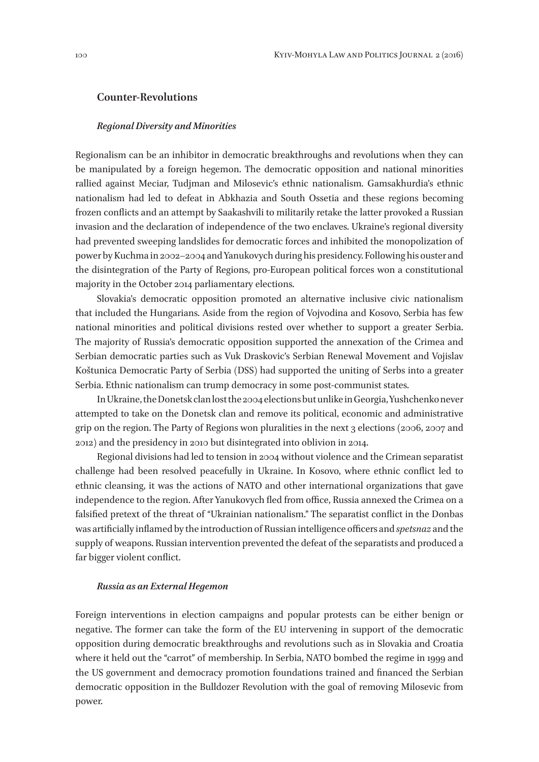#### **Counter-Revolutions**

#### *Regional Diversity and Minorities*

Regionalism can be an inhibitor in democratic breakthroughs and revolutions when they can be manipulated by a foreign hegemon. The democratic opposition and national minorities rallied against Meciar, Tudjman and Milosevic's ethnic nationalism. Gamsakhurdia's ethnic nationalism had led to defeat in Abkhazia and South Ossetia and these regions becoming frozen conflicts and an attempt by Saakashvili to militarily retake the latter provoked a Russian invasion and the declaration of independence of the two enclaves. Ukraine's regional diversity had prevented sweeping landslides for democratic forces and inhibited the monopolization of power by Kuchma in 2002–2004 and Yanukovych during his presidency. Following his ouster and the disintegration of the Party of Regions, pro-European political forces won a constitutional majority in the October 2014 parliamentary elections.

Slovakia's democratic opposition promoted an alternative inclusive civic nationalism that included the Hungarians. Aside from the region of Vojvodina and Kosovo, Serbia has few national minorities and political divisions rested over whether to support a greater Serbia. The majority of Russia's democratic opposition supported the annexation of the Crimea and Serbian democratic parties such as Vuk Draskovic's Serbian Renewal Movement and Vojislav Koštunica Democratic Party of Serbia (DSS) had supported the uniting of Serbs into a greater Serbia. Ethnic nationalism can trump democracy in some post-communist states.

In Ukraine, the Donetsk clan lost the 2004 elections but unlike in Georgia, Yushchenko never attempted to take on the Donetsk clan and remove its political, economic and administrative grip on the region. The Party of Regions won pluralities in the next 3 elections (2006, 2007 and 2012) and the presidency in 2010 but disintegrated into oblivion in 2014.

Regional divisions had led to tension in 2004 without violence and the Crimean separatist challenge had been resolved peacefully in Ukraine. In Kosovo, where ethnic conflict led to ethnic cleansing, it was the actions of NATO and other international organizations that gave independence to the region. After Yanukovych fled from office, Russia annexed the Crimea on a falsified pretext of the threat of "Ukrainian nationalism." The separatist conflict in the Donbas was artificially inflamed by the introduction of Russian intelligence officers and *spetsnaz* and the supply of weapons. Russian intervention prevented the defeat of the separatists and produced a far bigger violent conflict.

#### *Russia as an External Hegemon*

Foreign interventions in election campaigns and popular protests can be either benign or negative. The former can take the form of the EU intervening in support of the democratic opposition during democratic breakthroughs and revolutions such as in Slovakia and Croatia where it held out the "carrot" of membership. In Serbia, NATO bombed the regime in 1999 and the US government and democracy promotion foundations trained and financed the Serbian democratic opposition in the Bulldozer Revolution with the goal of removing Milosevic from power.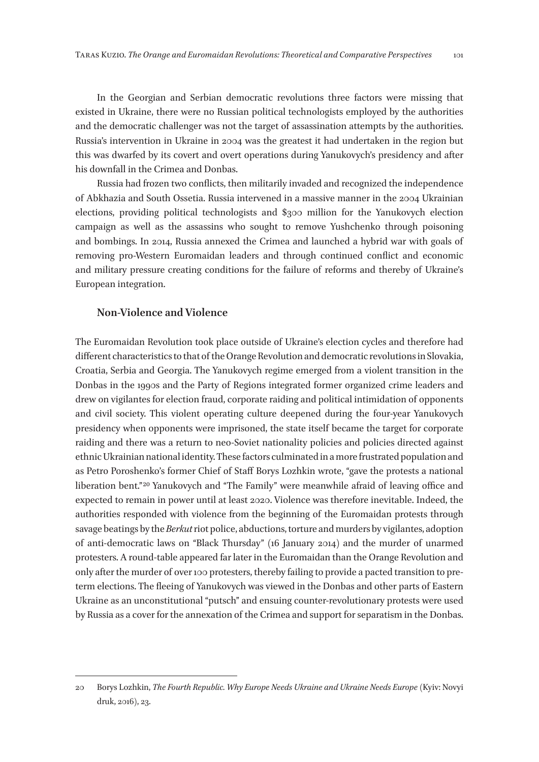In the Georgian and Serbian democratic revolutions three factors were missing that existed in Ukraine, there were no Russian political technologists employed by the authorities and the democratic challenger was not the target of assassination attempts by the authorities. Russia's intervention in Ukraine in 2004 was the greatest it had undertaken in the region but this was dwarfed by its covert and overt operations during Yanukovych's presidency and after his downfall in the Crimea and Donbas.

Russia had frozen two conflicts, then militarily invaded and recognized the independence of Abkhazia and South Ossetia. Russia intervened in a massive manner in the 2004 Ukrainian elections, providing political technologists and \$300 million for the Yanukovych election campaign as well as the assassins who sought to remove Yushchenko through poisoning and bombings. In 2014, Russia annexed the Crimea and launched a hybrid war with goals of removing pro-Western Euromaidan leaders and through continued conflict and economic and military pressure creating conditions for the failure of reforms and thereby of Ukraine's European integration.

#### **Non-Violence and Violence**

The Euromaidan Revolution took place outside of Ukraine's election cycles and therefore had different characteristics to that of the Orange Revolution and democratic revolutions in Slovakia, Croatia, Serbia and Georgia. The Yanukovych regime emerged from a violent transition in the Donbas in the 1990s and the Party of Regions integrated former organized crime leaders and drew on vigilantes for election fraud, corporate raiding and political intimidation of opponents and civil society. This violent operating culture deepened during the four-year Yanukovych presidency when opponents were imprisoned, the state itself became the target for corporate raiding and there was a return to neo-Soviet nationality policies and policies directed against ethnic Ukrainian national identity. These factors culminated in a more frustrated population and as Petro Poroshenko's former Chief of Staff Borys Lozhkin wrote, "gave the protests a national liberation bent."<sup>20</sup> Yanukovych and "The Family" were meanwhile afraid of leaving office and expected to remain in power until at least 2020. Violence was therefore inevitable. Indeed, the authorities responded with violence from the beginning of the Euromaidan protests through savage beatings by the *Berkut* riot police, abductions, torture and murders by vigilantes, adoption of anti-democratic laws on "Black Thursday" (16 January 2014) and the murder of unarmed protesters. A round-table appeared far later in the Euromaidan than the Orange Revolution and only after the murder of over 100 protesters, thereby failing to provide a pacted transition to preterm elections. The fleeing of Yanukovych was viewed in the Donbas and other parts of Eastern Ukraine as an unconstitutional "putsch" and ensuing counter-revolutionary protests were used by Russia as a cover for the annexation of the Crimea and support for separatism in the Donbas.

<sup>20</sup> Borys Lozhkin, *The Fourth Republic. Why Europe Needs Ukraine and Ukraine Needs Europe* (Kyiv: Novyi druk, 2016), 23.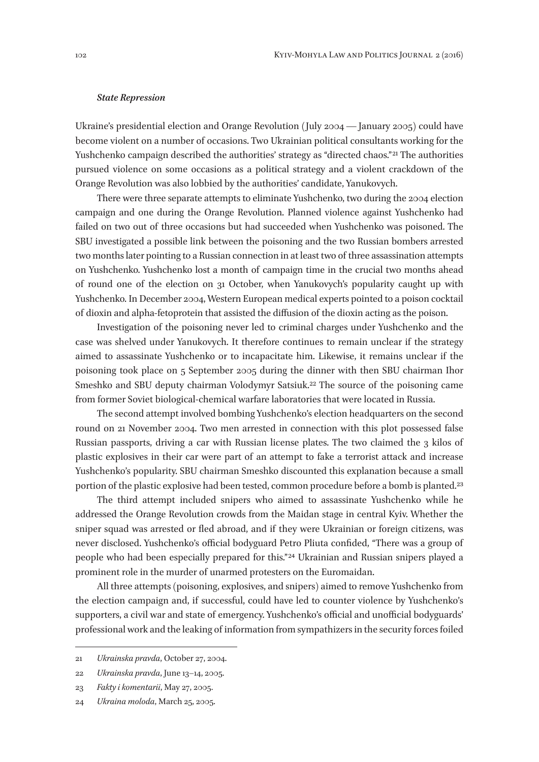#### *State Repression*

Ukraine's presidential election and Orange Revolution (July 2004 — January 2005) could have become violent on a number of occasions. Two Ukrainian political consultants working for the Yushchenko campaign described the authorities' strategy as "directed chaos."<sup>21</sup> The authorities pursued violence on some occasions as a political strategy and a violent crackdown of the Orange Revolution was also lobbied by the authorities' candidate, Yanukovych.

There were three separate attempts to eliminate Yushchenko, two during the 2004 election campaign and one during the Orange Revolution. Planned violence against Yushchenko had failed on two out of three occasions but had succeeded when Yushchenko was poisoned. The SBU investigated a possible link between the poisoning and the two Russian bombers arrested two months later pointing to a Russian connection in at least two of three assassination attempts on Yushchenko. Yushchenko lost a month of campaign time in the crucial two months ahead of round one of the election on 31 October, when Yanukovych's popularity caught up with Yushchenko. In December 2004, Western European medical experts pointed to a poison cocktail of dioxin and alpha-fetoprotein that assisted the diffusion of the dioxin acting as the poison.

Investigation of the poisoning never led to criminal charges under Yushchenko and the case was shelved under Yanukovych. It therefore continues to remain unclear if the strategy aimed to assassinate Yushchenko or to incapacitate him. Likewise, it remains unclear if the poisoning took place on 5 September 2005 during the dinner with then SBU chairman Ihor Smeshko and SBU deputy chairman Volodymyr Satsiuk.22 The source of the poisoning came from former Soviet biological-chemical warfare laboratories that were located in Russia.

The second attempt involved bombing Yushchenko's election headquarters on the second round on 21 November 2004. Two men arrested in connection with this plot possessed false Russian passports, driving a car with Russian license plates. The two claimed the 3 kilos of plastic explosives in their car were part of an attempt to fake a terrorist attack and increase Yushchenko's popularity. SBU chairman Smeshko discounted this explanation because a small portion of the plastic explosive had been tested, common procedure before a bomb is planted.<sup>23</sup>

The third attempt included snipers who aimed to assassinate Yushchenko while he addressed the Orange Revolution crowds from the Maidan stage in central Kyiv. Whether the sniper squad was arrested or fled abroad, and if they were Ukrainian or foreign citizens, was never disclosed. Yushchenko's official bodyguard Petro Pliuta confided, "There was a group of people who had been especially prepared for this." 24 Ukrainian and Russian snipers played a prominent role in the murder of unarmed protesters on the Euromaidan.

All three attempts (poisoning, explosives, and snipers) aimed to remove Yushchenko from the election campaign and, if successful, could have led to counter violence by Yushchenko's supporters, a civil war and state of emergency. Yushchenko's official and unofficial bodyguards' professional work and the leaking of information from sympathizers in the security forces foiled

21 *Ukrainska pravda*, October 27, 2004.

23 *Fakty i komentarii*, May 27, 2005.

<sup>22</sup> *Ukrainska pravda*, June 13–14, 2005.

<sup>24</sup> *Ukraina moloda*, March 25, 2005.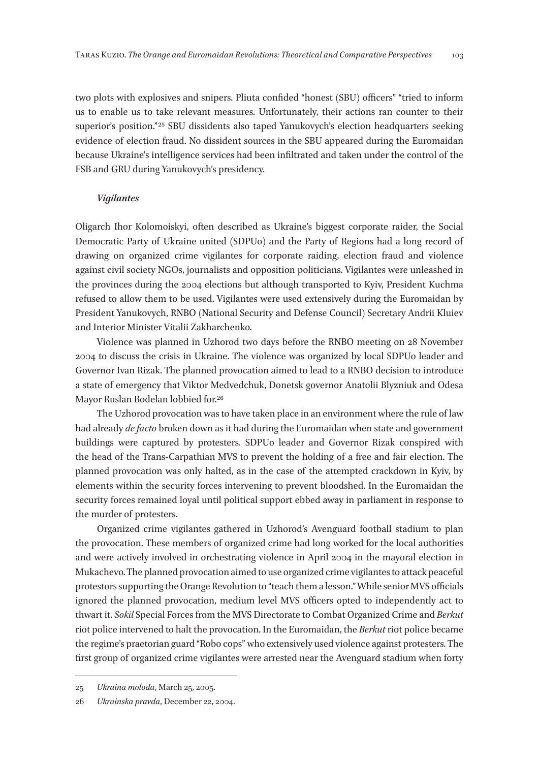two plots with explosives and snipers. Pliuta confided "honest (SBU) officers" "tried to inform us to enable us to take relevant measures. Unfortunately, their actions ran counter to their superior's position."<sup>25</sup> SBU dissidents also taped Yanukovych's election headquarters seeking evidence of election fraud. No dissident sources in the SBU appeared during the Euromaidan because Ukraine's intelligence services had been infiltrated and taken under the control of the FSB and GRU during Yanukovych's presidency.

#### *Vigilantes*

Oligarch Ihor Kolomoiskyi, often described as Ukraine's biggest corporate raider, the Social Democratic Party of Ukraine united (SDPUo) and the Party of Regions had a long record of drawing on organized crime vigilantes for corporate raiding, election fraud and violence against civil society NGOs, journalists and opposition politicians. Vigilantes were unleashed in the provinces during the 2004 elections but although transported to Kyiv, President Kuchma refused to allow them to be used. Vigilantes were used extensively during the Euromaidan by President Yanukovych, RNBO (National Security and Defense Council) Secretary Andrii Kluiev and Interior Minister Vitalii Zakharchenko.

Violence was planned in Uzhorod two days before the RNBO meeting on 28 November 2004 to discuss the crisis in Ukraine. The violence was organized by local SDPUo leader and Governor Ivan Rizak. The planned provocation aimed to lead to a RNBO decision to introduce a state of emergency that Viktor Medvedchuk, Donetsk governor Anatolii Blyzniuk and Odesa Mayor Ruslan Bodelan lobbied for.26

The Uzhorod provocation was to have taken place in an environment where the rule of law had already *de facto* broken down as it had during the Euromaidan when state and government buildings were captured by protesters. SDPUo leader and Governor Rizak conspired with the head of the Trans-Carpathian MVS to prevent the holding of a free and fair election. The planned provocation was only halted, as in the case of the attempted crackdown in Kyiv, by elements within the security forces intervening to prevent bloodshed. In the Euromaidan the security forces remained loyal until political support ebbed away in parliament in response to the murder of protesters.

Organized crime vigilantes gathered in Uzhorod's Avenguard football stadium to plan the provocation. These members of organized crime had long worked for the local authorities and were actively involved in orchestrating violence in April 2004 in the mayoral election in Mukachevo. The planned provocation aimed to use organized crime vigilantes to attack peaceful protestors supporting the Orange Revolution to "teach them a lesson." While senior MVS officials ignored the planned provocation, medium level MVS officers opted to independently act to thwart it. *Sokil* Special Forces from the MVS Directorate to Combat Organized Crime and *Berkut* riot police intervened to halt the provocation. In the Euromaidan, the *Berkut* riot police became the regime's praetorian guard "Robo cops" who extensively used violence against protesters. The first group of organized crime vigilantes were arrested near the Avenguard stadium when forty

<sup>25</sup> *Ukraina moloda*, March 25, 2005.

<sup>26</sup> *Ukrainska pravda*, December 22, 2004.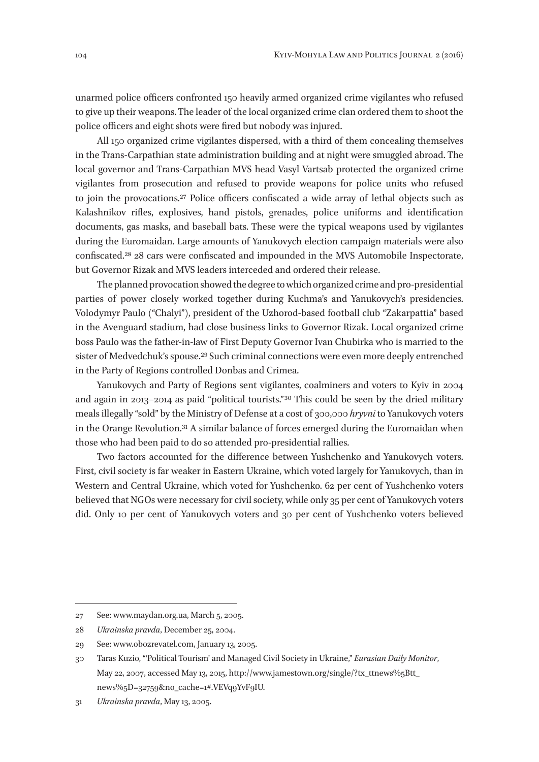unarmed police officers confronted 150 heavily armed organized crime vigilantes who refused to give up their weapons. The leader of the local organized crime clan ordered them to shoot the police officers and eight shots were fired but nobody was injured.

All 150 organized crime vigilantes dispersed, with a third of them concealing themselves in the Trans-Carpathian state administration building and at night were smuggled abroad. The local governor and Trans-Carpathian MVS head Vasyl Vartsab protected the organized crime vigilantes from prosecution and refused to provide weapons for police units who refused to join the provocations.27 Police officers confiscated a wide array of lethal objects such as Kalashnikov rifles, explosives, hand pistols, grenades, police uniforms and identification documents, gas masks, and baseball bats. These were the typical weapons used by vigilantes during the Euromaidan. Large amounts of Yanukovych election campaign materials were also confiscated.28 28 cars were confiscated and impounded in the MVS Automobile Inspectorate, but Governor Rizak and MVS leaders interceded and ordered their release.

The planned provocation showed the degree to which organized crime and pro-presidential parties of power closely worked together during Kuchma's and Yanukovych's presidencies. Volodymyr Paulo ("Chalyi"), president of the Uzhorod-based football club "Zakarpattia" based in the Avenguard stadium, had close business links to Governor Rizak. Local organized crime boss Paulo was the father-in-law of First Deputy Governor Ivan Chubirka who is married to the sister of Medvedchuk's spouse.<sup>29</sup> Such criminal connections were even more deeply entrenched in the Party of Regions controlled Donbas and Crimea.

Yanukovych and Party of Regions sent vigilantes, coalminers and voters to Kyiv in 2004 and again in 2013–2014 as paid "political tourists." 30 This could be seen by the dried military meals illegally "sold" by the Ministry of Defense at a cost of 300,000 *hryvni* to Yanukovych voters in the Orange Revolution.31 A similar balance of forces emerged during the Euromaidan when those who had been paid to do so attended pro-presidential rallies.

Two factors accounted for the difference between Yushchenko and Yanukovych voters. First, civil society is far weaker in Eastern Ukraine, which voted largely for Yanukovych, than in Western and Central Ukraine, which voted for Yushchenko. 62 per cent of Yushchenko voters believed that NGOs were necessary for civil society, while only 35 per cent of Yanukovych voters did. Only 10 per cent of Yanukovych voters and 30 per cent of Yushchenko voters believed

<sup>27</sup> See: www.maydan.org.ua, March 5, 2005.

<sup>28</sup> *Ukrainska pravda*, December 25, 2004.

<sup>29</sup> See: www.obozrevatel.com, January 13, 2005.

<sup>30</sup> Taras Kuzio, "'Political Tourism' and Managed Civil Society in Ukraine," *Eurasian Daily Monitor*, May 22, 2007, accessed May 13, 2015, http://www.jamestown.org/single/?tx\_ttnews%5Btt\_ news%5D=32759&no\_cache=1#.VEVq9YvF9IU.

<sup>31</sup> *Ukrainska pravda*, May 13, 2005.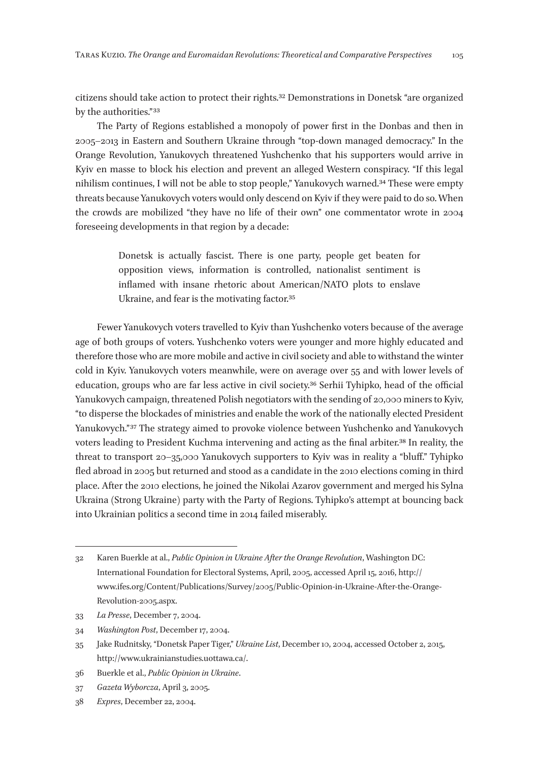citizens should take action to protect their rights.32 Demonstrations in Donetsk "are organized by the authorities." 33

The Party of Regions established a monopoly of power first in the Donbas and then in 2005–2013 in Eastern and Southern Ukraine through "top-down managed democracy." In the Orange Revolution, Yanukovych threatened Yushchenko that his supporters would arrive in Kyiv en masse to block his election and prevent an alleged Western conspiracy. "If this legal nihilism continues, I will not be able to stop people," Yanukovych warned.34 These were empty threats because Yanukovych voters would only descend on Kyiv if they were paid to do so. When the crowds are mobilized "they have no life of their own" one commentator wrote in 2004 foreseeing developments in that region by a decade:

> Donetsk is actually fascist. There is one party, people get beaten for opposition views, information is controlled, nationalist sentiment is inflamed with insane rhetoric about American/NATO plots to enslave Ukraine, and fear is the motivating factor.<sup>35</sup>

Fewer Yanukovych voters travelled to Kyiv than Yushchenko voters because of the average age of both groups of voters. Yushchenko voters were younger and more highly educated and therefore those who are more mobile and active in civil society and able to withstand the winter cold in Kyiv. Yanukovych voters meanwhile, were on average over 55 and with lower levels of education, groups who are far less active in civil society.36 Serhii Tyhipko, head of the official Yanukovych campaign, threatened Polish negotiators with the sending of 20,000 miners to Kyiv, "to disperse the blockades of ministries and enable the work of the nationally elected President Yanukovych."<sup>37</sup> The strategy aimed to provoke violence between Yushchenko and Yanukovych voters leading to President Kuchma intervening and acting as the final arbiter.38 In reality, the threat to transport 20–35,000 Yanukovych supporters to Kyiv was in reality a "bluff." Tyhipko fled abroad in 2005 but returned and stood as a candidate in the 2010 elections coming in third place. After the 2010 elections, he joined the Nikolai Azarov government and merged his Sylna Ukraina (Strong Ukraine) party with the Party of Regions. Tyhipko's attempt at bouncing back into Ukrainian politics a second time in 2014 failed miserably.

33 *La Presse*, December 7, 2004.

<sup>32</sup> Karen Buerkle at al., *Public Opinion in Ukraine After the Orange Revolution*, Washington DC: International Foundation for Electoral Systems, April, 2005, accessed April 15, 2016, http:// www.ifes.org/Content/Publications/Survey/2005/Public-Opinion-in-Ukraine-After-the-Orange-Revolution‑2005.aspx.

<sup>34</sup> *Washington Post*, December 17, 2004.

<sup>35</sup> Jake Rudnitsky, "Donetsk Paper Tiger," *Ukraine List*, December 10, 2004, accessed October 2, 2015, http://www.ukrainianstudies.uottawa.ca/.

<sup>36</sup> Buerkle et al., *Public Opinion in Ukraine*.

<sup>37</sup> *Gazeta Wyborcza*, April 3, 2005.

<sup>38</sup> *Expres*, December 22, 2004.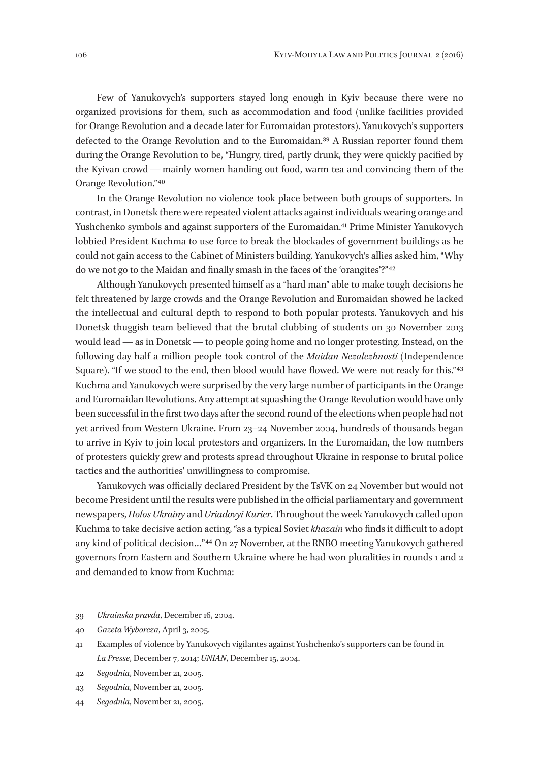Few of Yanukovych's supporters stayed long enough in Kyiv because there were no organized provisions for them, such as accommodation and food (unlike facilities provided for Orange Revolution and a decade later for Euromaidan protestors). Yanukovych's supporters defected to the Orange Revolution and to the Euromaidan.39 A Russian reporter found them during the Orange Revolution to be, "Hungry, tired, partly drunk, they were quickly pacified by the Kyivan crowd — mainly women handing out food, warm tea and convincing them of the Orange Revolution." 40

In the Orange Revolution no violence took place between both groups of supporters. In contrast, in Donetsk there were repeated violent attacks against individuals wearing orange and Yushchenko symbols and against supporters of the Euromaidan.<sup>41</sup> Prime Minister Yanukovych lobbied President Kuchma to use force to break the blockades of government buildings as he could not gain access to the Cabinet of Ministers building. Yanukovych's allies asked him, "Why do we not go to the Maidan and finally smash in the faces of the 'orangites'?" 42

Although Yanukovych presented himself as a "hard man" able to make tough decisions he felt threatened by large crowds and the Orange Revolution and Euromaidan showed he lacked the intellectual and cultural depth to respond to both popular protests. Yanukovych and his Donetsk thuggish team believed that the brutal clubbing of students on 30 November 2013 would lead — as in Donetsk — to people going home and no longer protesting. Instead, on the following day half a million people took control of the *Maidan Nezalezhnosti* (Independence Square). "If we stood to the end, then blood would have flowed. We were not ready for this."<sup>43</sup> Kuchma and Yanukovych were surprised by the very large number of participants in the Orange and Euromaidan Revolutions. Any attempt at squashing the Orange Revolution would have only been successful in the first two days after the second round of the elections when people had not yet arrived from Western Ukraine. From 23–24 November 2004, hundreds of thousands began to arrive in Kyiv to join local protestors and organizers. In the Euromaidan, the low numbers of protesters quickly grew and protests spread throughout Ukraine in response to brutal police tactics and the authorities' unwillingness to compromise.

Yanukovych was officially declared President by the TsVK on 24 November but would not become President until the results were published in the official parliamentary and government newspapers, *Holos Ukrainy* and *Uriadovyi Kurier*. Throughout the week Yanukovych called upon Kuchma to take decisive action acting, "as a typical Soviet *khazain* who finds it difficult to adopt any kind of political decision..."<sup>44</sup> On 27 November, at the RNBO meeting Yanukovych gathered governors from Eastern and Southern Ukraine where he had won pluralities in rounds 1 and 2 and demanded to know from Kuchma:

<sup>39</sup> *Ukrainska pravda*, December 16, 2004.

<sup>40</sup> *Gazeta Wyborcza*, April 3, 2005.

<sup>41</sup> Examples of violence by Yanukovych vigilantes against Yushchenko's supporters can be found in *La Presse*, December 7, 2014; *UNIAN*, December 15, 2004.

<sup>42</sup> *Segodnia*, November 21, 2005.

<sup>43</sup> *Segodnia*, November 21, 2005.

<sup>44</sup> *Segodnia*, November 21, 2005.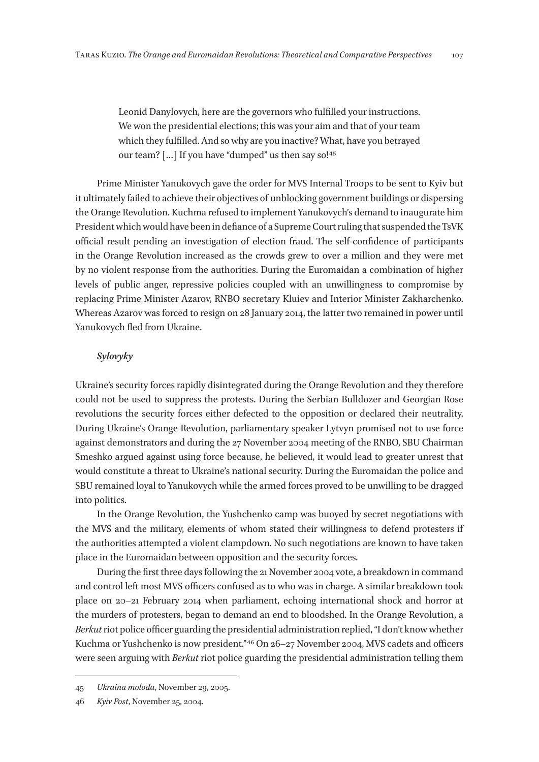Leonid Danylovych, here are the governors who fulfilled your instructions. We won the presidential elections; this was your aim and that of your team which they fulfilled. And so why are you inactive? What, have you betrayed our team? [...] If you have "dumped" us then say so!<sup>45</sup>

Prime Minister Yanukovych gave the order for MVS Internal Troops to be sent to Kyiv but it ultimately failed to achieve their objectives of unblocking government buildings or dispersing the Orange Revolution. Kuchma refused to implement Yanukovych's demand to inaugurate him President which would have been in defiance of a Supreme Court ruling that suspended the TsVK official result pending an investigation of election fraud. The self-confidence of participants in the Orange Revolution increased as the crowds grew to over a million and they were met by no violent response from the authorities. During the Euromaidan a combination of higher levels of public anger, repressive policies coupled with an unwillingness to compromise by replacing Prime Minister Azarov, RNBO secretary Kluiev and Interior Minister Zakharchenko. Whereas Azarov was forced to resign on 28 January 2014, the latter two remained in power until Yanukovych fled from Ukraine.

#### *Sylovyky*

Ukraine's security forces rapidly disintegrated during the Orange Revolution and they therefore could not be used to suppress the protests. During the Serbian Bulldozer and Georgian Rose revolutions the security forces either defected to the opposition or declared their neutrality. During Ukraine's Orange Revolution, parliamentary speaker Lytvyn promised not to use force against demonstrators and during the 27 November 2004 meeting of the RNBO, SBU Chairman Smeshko argued against using force because, he believed, it would lead to greater unrest that would constitute a threat to Ukraine's national security. During the Euromaidan the police and SBU remained loyal to Yanukovych while the armed forces proved to be unwilling to be dragged into politics.

In the Orange Revolution, the Yushchenko camp was buoyed by secret negotiations with the MVS and the military, elements of whom stated their willingness to defend protesters if the authorities attempted a violent clampdown. No such negotiations are known to have taken place in the Euromaidan between opposition and the security forces.

During the first three days following the 21 November 2004 vote, a breakdown in command and control left most MVS officers confused as to who was in charge. A similar breakdown took place on 20–21 February 2014 when parliament, echoing international shock and horror at the murders of protesters, began to demand an end to bloodshed. In the Orange Revolution, a *Berkut* riot police officer guarding the presidential administration replied, "I don't know whether Kuchma or Yushchenko is now president."<sup>46</sup> On 26-27 November 2004, MVS cadets and officers were seen arguing with *Berkut* riot police guarding the presidential administration telling them

<sup>45</sup> *Ukraina moloda*, November 29, 2005.

<sup>46</sup> *Kyiv Post*, November 25, 2004.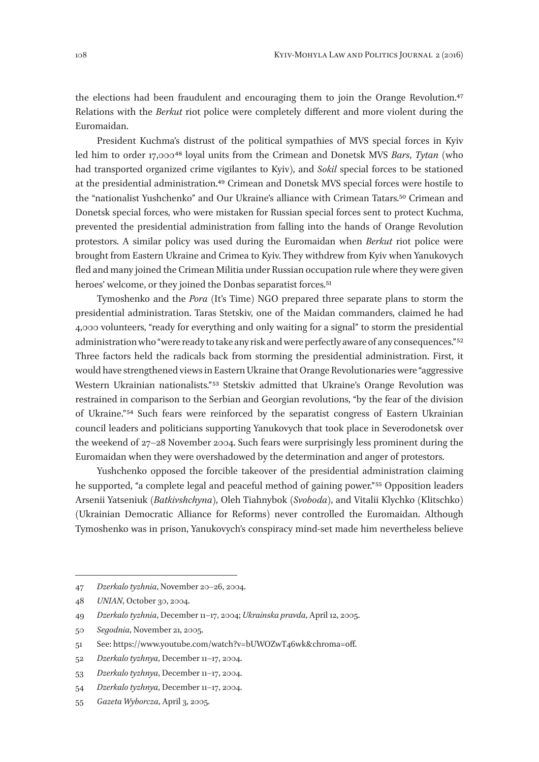the elections had been fraudulent and encouraging them to join the Orange Revolution.47 Relations with the *Berkut* riot police were completely different and more violent during the Euromaidan.

President Kuchma's distrust of the political sympathies of MVS special forces in Kyiv led him to order 17,000 48 loyal units from the Crimean and Donetsk MVS *Bars*, *Tytan* (who had transported organized crime vigilantes to Kyiv), and *Sokil* special forces to be stationed at the presidential administration.49 Crimean and Donetsk MVS special forces were hostile to the "nationalist Yushchenko" and Our Ukraine's alliance with Crimean Tatars.50 Crimean and Donetsk special forces, who were mistaken for Russian special forces sent to protect Kuchma, prevented the presidential administration from falling into the hands of Orange Revolution protestors. A similar policy was used during the Euromaidan when *Berkut* riot police were brought from Eastern Ukraine and Crimea to Kyiv. They withdrew from Kyiv when Yanukovych fled and many joined the Crimean Militia under Russian occupation rule where they were given heroes' welcome, or they joined the Donbas separatist forces.<sup>51</sup>

Tymoshenko and the *Pora* (It's Time) NGO prepared three separate plans to storm the presidential administration. Taras Stetskiv, one of the Maidan commanders, claimed he had 4,000 volunteers, "ready for everything and only waiting for a signal" to storm the presidential administration who "were ready to take any risk and were perfectly aware of any consequences." 52 Three factors held the radicals back from storming the presidential administration. First, it would have strengthened views in Eastern Ukraine that Orange Revolutionaries were "aggressive Western Ukrainian nationalists."<sup>53</sup> Stetskiv admitted that Ukraine's Orange Revolution was restrained in comparison to the Serbian and Georgian revolutions, "by the fear of the division of Ukraine." 54 Such fears were reinforced by the separatist congress of Eastern Ukrainian council leaders and politicians supporting Yanukovych that took place in Severodonetsk over the weekend of 27–28 November 2004. Such fears were surprisingly less prominent during the Euromaidan when they were overshadowed by the determination and anger of protestors.

Yushchenko opposed the forcible takeover of the presidential administration claiming he supported, "a complete legal and peaceful method of gaining power."<sup>55</sup> Opposition leaders Arsenii Yatseniuk (*Batkivshchyna*), Oleh Tiahnybok (*Svoboda*), and Vitalii Klychko (Klitschko) (Ukrainian Democratic Alliance for Reforms) never controlled the Euromaidan. Although Tymoshenko was in prison, Yanukovych's conspiracy mind-set made him nevertheless believe

<sup>47</sup> *Dzerkalo tyzhnia*, November 20–26, 2004.

<sup>48</sup> *UNIAN*, October 30, 2004.

<sup>49</sup> *Dzerkalo tyzhnia*, December 11–17, 2004; *Ukrainska pravda*, April 12, 2005.

<sup>50</sup> *Segodnia*, November 21, 2005.

<sup>51</sup> See: https://www.youtube.com/watch?v=bUWOZwT46wk&chroma=off.

<sup>52</sup> *Dzerkalo tyzhnya*, December 11–17, 2004.

<sup>53</sup> *Dzerkalo tyzhnya*, December 11–17, 2004.

<sup>54</sup> *Dzerkalo tyzhnya*, December 11–17, 2004.

<sup>55</sup> *Gazeta Wyborcza*, April 3, 2005.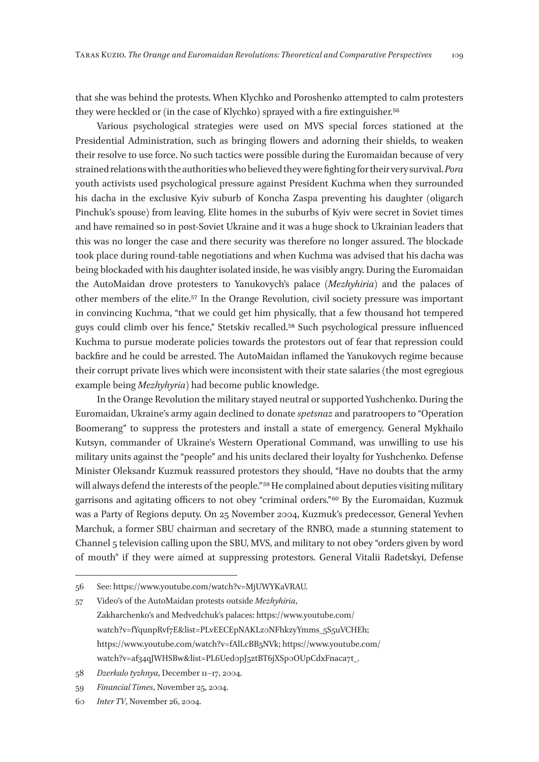that she was behind the protests. When Klychko and Poroshenko attempted to calm protesters they were heckled or (in the case of Klychko) sprayed with a fire extinguisher.<sup>56</sup>

Various psychological strategies were used on MVS special forces stationed at the Presidential Administration, such as bringing flowers and adorning their shields, to weaken their resolve to use force. No such tactics were possible during the Euromaidan because of very strained relations with the authorities who believed they were fighting for their very survival. *Pora* youth activists used psychological pressure against President Kuchma when they surrounded his dacha in the exclusive Kyiv suburb of Koncha Zaspa preventing his daughter (oligarch Pinchuk's spouse) from leaving. Elite homes in the suburbs of Kyiv were secret in Soviet times and have remained so in post-Soviet Ukraine and it was a huge shock to Ukrainian leaders that this was no longer the case and there security was therefore no longer assured. The blockade took place during round-table negotiations and when Kuchma was advised that his dacha was being blockaded with his daughter isolated inside, he was visibly angry. During the Euromaidan the AutoMaidan drove protesters to Yanukovych's palace (*Mezhyhiria*) and the palaces of other members of the elite.57 In the Orange Revolution, civil society pressure was important in convincing Kuchma, "that we could get him physically, that a few thousand hot tempered guys could climb over his fence," Stetskiv recalled.58 Such psychological pressure influenced Kuchma to pursue moderate policies towards the protestors out of fear that repression could backfire and he could be arrested. The AutoMaidan inflamed the Yanukovych regime because their corrupt private lives which were inconsistent with their state salaries (the most egregious example being *Mezhyhyria*) had become public knowledge.

In the Orange Revolution the military stayed neutral or supported Yushchenko. During the Euromaidan, Ukraine's army again declined to donate *spetsnaz* and paratroopers to "Operation Boomerang" to suppress the protesters and install a state of emergency. General Mykhailo Kutsyn, commander of Ukraine's Western Operational Command, was unwilling to use his military units against the "people" and his units declared their loyalty for Yushchenko. Defense Minister Oleksandr Kuzmuk reassured protestors they should, "Have no doubts that the army will always defend the interests of the people."<sup>59</sup> He complained about deputies visiting military garrisons and agitating officers to not obey "criminal orders." 60 By the Euromaidan, Kuzmuk was a Party of Regions deputy. On 25 November 2004, Kuzmuk's predecessor, General Yevhen Marchuk, a former SBU chairman and secretary of the RNBO, made a stunning statement to Channel 5 television calling upon the SBU, MVS, and military to not obey "orders given by word of mouth" if they were aimed at suppressing protestors. General Vitalii Radetskyi, Defense

<sup>56</sup> See: https://www.youtube.com/watch?v=MjUWYKaVRAU.

<sup>57</sup> Video's of the AutoMaidan protests outside *Mezhyhiria*, Zakharchenko's and Medvedchuk's palaces: https://www.youtube.com/ watch?v=fYqunpRvf7E&list=PLvEECEpNAKLz0NFhkzyYmms\_5S5uVCHEh; https://www.youtube.com/watch?v=fAlLcBB5NVk; https://www.youtube.com/ watch?v=af34qJWHSBw&list=PL6Ued0pJ5ztBT6jXSp0OUpCdxFnaca7t\_.

<sup>58</sup> *Dzerkalo tyzhnya*, December 11–17, 2004.

<sup>59</sup> *Financial Times*, November 25, 2004.

<sup>60</sup> *Inter TV*, November 26, 2004.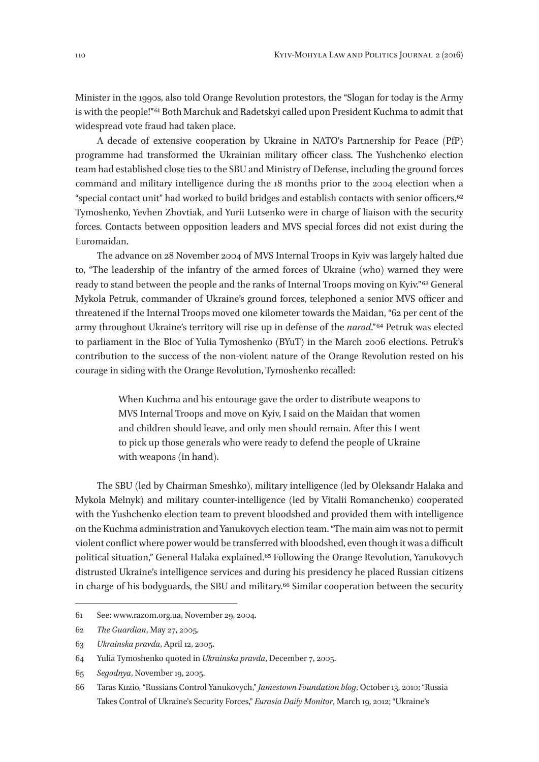Minister in the 1990s, also told Orange Revolution protestors, the "Slogan for today is the Army is with the people!"<sup>61</sup> Both Marchuk and Radetskyi called upon President Kuchma to admit that widespread vote fraud had taken place.

A decade of extensive cooperation by Ukraine in NATO's Partnership for Peace (PfP) programme had transformed the Ukrainian military officer class. The Yushchenko election team had established close ties to the SBU and Ministry of Defense, including the ground forces command and military intelligence during the 18 months prior to the 2004 election when a "special contact unit" had worked to build bridges and establish contacts with senior officers.62 Tymoshenko, Yevhen Zhovtiak, and Yurii Lutsenko were in charge of liaison with the security forces. Contacts between opposition leaders and MVS special forces did not exist during the Euromaidan.

The advance on 28 November 2004 of MVS Internal Troops in Kyiv was largely halted due to, "The leadership of the infantry of the armed forces of Ukraine (who) warned they were ready to stand between the people and the ranks of Internal Troops moving on Kyiv." 63 General Mykola Petruk, commander of Ukraine's ground forces, telephoned a senior MVS officer and threatened if the Internal Troops moved one kilometer towards the Maidan, "62 per cent of the army throughout Ukraine's territory will rise up in defense of the *narod*." 64 Petruk was elected to parliament in the Bloc of Yulia Tymoshenko (BYuT) in the March 2006 elections. Petruk's contribution to the success of the non-violent nature of the Orange Revolution rested on his courage in siding with the Orange Revolution, Tymoshenko recalled:

> When Kuchma and his entourage gave the order to distribute weapons to MVS Internal Troops and move on Kyiv, I said on the Maidan that women and children should leave, and only men should remain. After this I went to pick up those generals who were ready to defend the people of Ukraine with weapons (in hand).

The SBU (led by Chairman Smeshko), military intelligence (led by Oleksandr Halaka and Mykola Melnyk) and military counter-intelligence (led by Vitalii Romanchenko) cooperated with the Yushchenko election team to prevent bloodshed and provided them with intelligence on the Kuchma administration and Yanukovych election team. "The main aim was not to permit violent conflict where power would be transferred with bloodshed, even though it was a difficult political situation," General Halaka explained.65 Following the Orange Revolution, Yanukovych distrusted Ukraine's intelligence services and during his presidency he placed Russian citizens in charge of his bodyguards, the SBU and military.66 Similar cooperation between the security

<sup>61</sup> See: www.razom.org.ua, November 29, 2004.

<sup>62</sup> *The Guardian*, May 27, 2005.

<sup>63</sup> *Ukrainska pravda*, April 12, 2005.

<sup>64</sup> Yulia Tymoshenko quoted in *Ukrainska pravda*, December 7, 2005.

<sup>65</sup> *Segodnya*, November 19, 2005.

<sup>66</sup> Taras Kuzio, "Russians Control Yanukovych," *Jamestown Foundation blog*, October 13, 2010; "Russia Takes Control of Ukraine's Security Forces," *Eurasia Daily Monitor*, March 19, 2012; "Ukraine's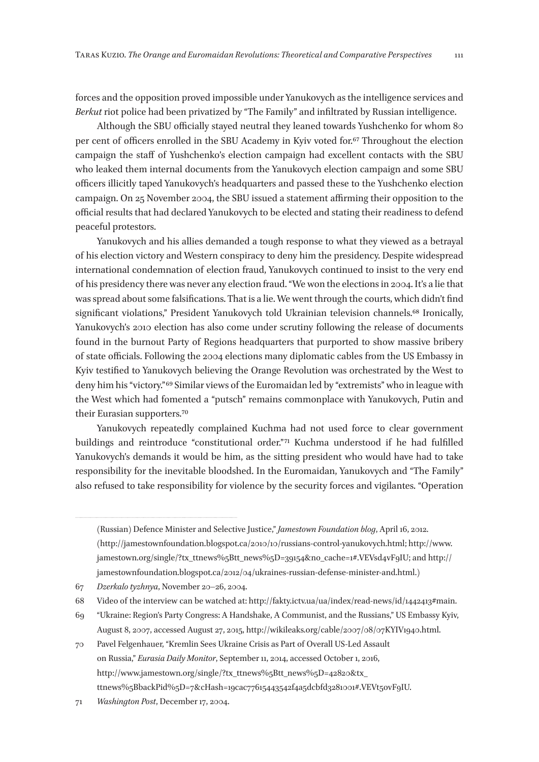forces and the opposition proved impossible under Yanukovych as the intelligence services and *Berkut* riot police had been privatized by "The Family" and infiltrated by Russian intelligence.

Although the SBU officially stayed neutral they leaned towards Yushchenko for whom 80 per cent of officers enrolled in the SBU Academy in Kyiv voted for.67 Throughout the election campaign the staff of Yushchenko's election campaign had excellent contacts with the SBU who leaked them internal documents from the Yanukovych election campaign and some SBU officers illicitly taped Yanukovych's headquarters and passed these to the Yushchenko election campaign. On 25 November 2004, the SBU issued a statement affirming their opposition to the official results that had declared Yanukovych to be elected and stating their readiness to defend peaceful protestors.

Yanukovych and his allies demanded a tough response to what they viewed as a betrayal of his election victory and Western conspiracy to deny him the presidency. Despite widespread international condemnation of election fraud, Yanukovych continued to insist to the very end of his presidency there was never any election fraud. "We won the elections in 2004. It's a lie that was spread about some falsifications. That is a lie. We went through the courts, which didn't find significant violations," President Yanukovych told Ukrainian television channels.<sup>68</sup> Ironically, Yanukovych's 2010 election has also come under scrutiny following the release of documents found in the burnout Party of Regions headquarters that purported to show massive bribery of state officials. Following the 2004 elections many diplomatic cables from the US Embassy in Kyiv testified to Yanukovych believing the Orange Revolution was orchestrated by the West to deny him his "victory." 69 Similar views of the Euromaidan led by "extremists" who in league with the West which had fomented a "putsch" remains commonplace with Yanukovych, Putin and their Eurasian supporters.70

Yanukovych repeatedly complained Kuchma had not used force to clear government buildings and reintroduce "constitutional order."<sup>71</sup> Kuchma understood if he had fulfilled Yanukovych's demands it would be him, as the sitting president who would have had to take responsibility for the inevitable bloodshed. In the Euromaidan, Yanukovych and "The Family" also refused to take responsibility for violence by the security forces and vigilantes. "Operation

67 *Dzerkalo tyzhnya*, November 20–26, 2004.

- 69 "Ukraine: Region's Party Congress: A Handshake, A Communist, and the Russians," US Embassy Kyiv, August 8, 2007, accessed August 27, 2015, http://wikileaks.org/cable/2007/08/07KYIV1940.html.
- 70 Pavel Felgenhauer, "Kremlin Sees Ukraine Crisis as Part of Overall US-Led Assault on Russia," *Eurasia Daily Monitor*, September 11, 2014, accessed October 1, 2016, http://www.jamestown.org/single/?tx\_ttnews%5Btt\_news%5D=42820&tx\_ ttnews%5BbackPid%5D=7&cHash=19cac77615443542f4a5dcbfd3281001#.VEVt5ovF9IU.

<sup>(</sup>Russian) Defence Minister and Selective Justice," *Jamestown Foundation blog*, April 16, 2012. (http://jamestownfoundation.blogspot.ca/2010/10/russians-control-yanukovych.html; http://www. jamestown.org/single/?tx\_ttnews%5Btt\_news%5D=39154&no\_cache=1#.VEVsd4vF9IU; and http:// jamestownfoundation.blogspot.ca/2012/04/ukraines-russian-defense-minister-and.html.)

<sup>68</sup> Video of the interview can be watched at: http://fakty.ictv.ua/ua/index/read-news/id/1442413#main.

<sup>71</sup> *Washington Post*, December 17, 2004.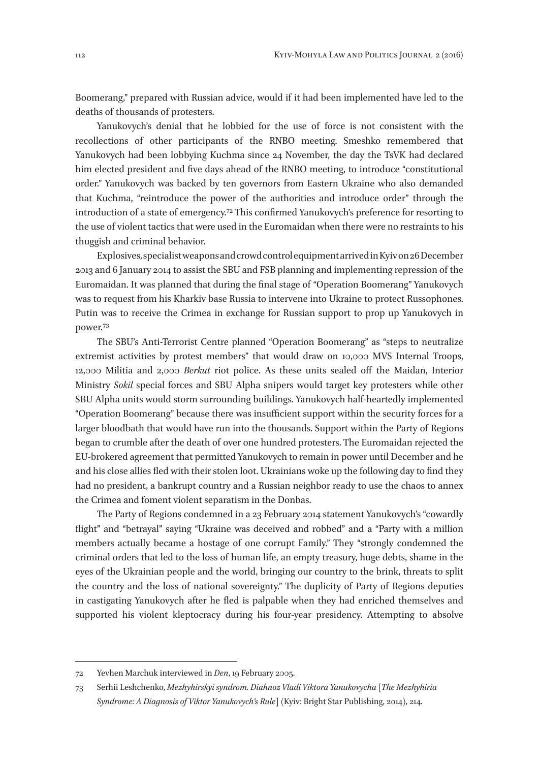Boomerang," prepared with Russian advice, would if it had been implemented have led to the deaths of thousands of protesters.

Yanukovych's denial that he lobbied for the use of force is not consistent with the recollections of other participants of the RNBO meeting. Smeshko remembered that Yanukovych had been lobbying Kuchma since 24 November, the day the TsVK had declared him elected president and five days ahead of the RNBO meeting, to introduce "constitutional order." Yanukovych was backed by ten governors from Eastern Ukraine who also demanded that Kuchma, "reintroduce the power of the authorities and introduce order" through the introduction of a state of emergency.72 This confirmed Yanukovych's preference for resorting to the use of violent tactics that were used in the Euromaidan when there were no restraints to his thuggish and criminal behavior.

Explosives, specialist weapons and crowd control equipment arrived in Kyiv on 26 December 2013 and 6 January 2014 to assist the SBU and FSB planning and implementing repression of the Euromaidan. It was planned that during the final stage of "Operation Boomerang" Yanukovych was to request from his Kharkiv base Russia to intervene into Ukraine to protect Russophones. Putin was to receive the Crimea in exchange for Russian support to prop up Yanukovych in power.73

The SBU's Anti-Terrorist Centre planned "Operation Boomerang" as "steps to neutralize extremist activities by protest members" that would draw on 10,000 MVS Internal Troops, 12,000 Militia and 2,000 *Berkut* riot police. As these units sealed off the Maidan, Interior Ministry *Sokil* special forces and SBU Alpha snipers would target key protesters while other SBU Alpha units would storm surrounding buildings. Yanukovych half-heartedly implemented "Operation Boomerang" because there was insufficient support within the security forces for a larger bloodbath that would have run into the thousands. Support within the Party of Regions began to crumble after the death of over one hundred protesters. The Euromaidan rejected the EU-brokered agreement that permitted Yanukovych to remain in power until December and he and his close allies fled with their stolen loot. Ukrainians woke up the following day to find they had no president, a bankrupt country and a Russian neighbor ready to use the chaos to annex the Crimea and foment violent separatism in the Donbas.

The Party of Regions condemned in a 23 February 2014 statement Yanukovych's "cowardly flight" and "betrayal" saying "Ukraine was deceived and robbed" and a "Party with a million members actually became a hostage of one corrupt Family." They "strongly condemned the criminal orders that led to the loss of human life, an empty treasury, huge debts, shame in the eyes of the Ukrainian people and the world, bringing our country to the brink, threats to split the country and the loss of national sovereignty." The duplicity of Party of Regions deputies in castigating Yanukovych after he fled is palpable when they had enriched themselves and supported his violent kleptocracy during his four-year presidency. Attempting to absolve

<sup>72</sup> Yevhen Marchuk interviewed in *Den*, 19 February 2005.

<sup>73</sup> Serhii Leshchenko, *Mezhyhirskyi syndrom. Diahnoz Vladi Viktora Yanukovycha* [*The Mezhyhiria Syndrome: A Diagnosis of Viktor Yanukovych's Rule*] (Kyiv: Bright Star Publishing, 2014), 214.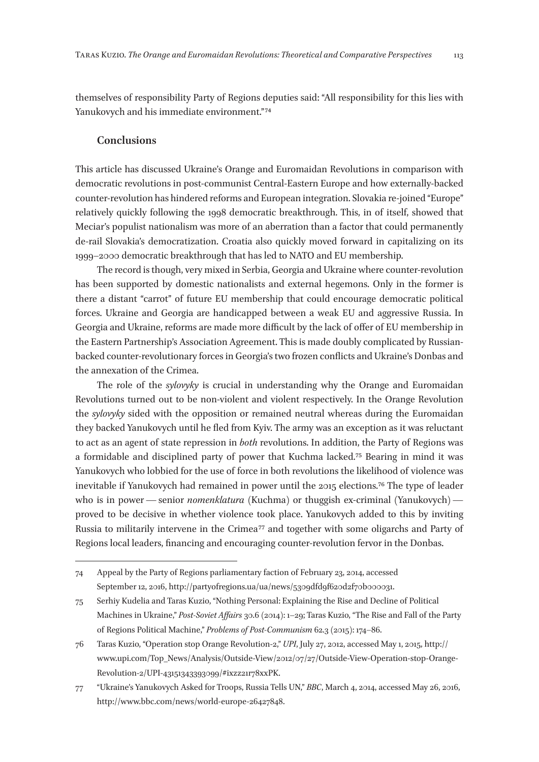themselves of responsibility Party of Regions deputies said: "All responsibility for this lies with Yanukovych and his immediate environment."<sup>74</sup>

#### **Conclusions**

This article has discussed Ukraine's Orange and Euromaidan Revolutions in comparison with democratic revolutions in post-communist Central-Eastern Europe and how externally-backed counter-revolution has hindered reforms and European integration. Slovakia re-joined "Europe" relatively quickly following the 1998 democratic breakthrough. This, in of itself, showed that Meciar's populist nationalism was more of an aberration than a factor that could permanently de-rail Slovakia's democratization. Croatia also quickly moved forward in capitalizing on its 1999–2000 democratic breakthrough that has led to NATO and EU membership.

The record is though, very mixed in Serbia, Georgia and Ukraine where counter-revolution has been supported by domestic nationalists and external hegemons. Only in the former is there a distant "carrot" of future EU membership that could encourage democratic political forces. Ukraine and Georgia are handicapped between a weak EU and aggressive Russia. In Georgia and Ukraine, reforms are made more difficult by the lack of offer of EU membership in the Eastern Partnership's Association Agreement. This is made doubly complicated by Russianbacked counter-revolutionary forces in Georgia's two frozen conflicts and Ukraine's Donbas and the annexation of the Crimea.

The role of the *sylovyky* is crucial in understanding why the Orange and Euromaidan Revolutions turned out to be non-violent and violent respectively. In the Orange Revolution the *sylovyky* sided with the opposition or remained neutral whereas during the Euromaidan they backed Yanukovych until he fled from Kyiv. The army was an exception as it was reluctant to act as an agent of state repression in *both* revolutions. In addition, the Party of Regions was a formidable and disciplined party of power that Kuchma lacked.75 Bearing in mind it was Yanukovych who lobbied for the use of force in both revolutions the likelihood of violence was inevitable if Yanukovych had remained in power until the 2015 elections.76 The type of leader who is in power—senior *nomenklatura* (Kuchma) or thuggish ex-criminal (Yanukovych) proved to be decisive in whether violence took place. Yanukovych added to this by inviting Russia to militarily intervene in the Crimea 77 and together with some oligarchs and Party of Regions local leaders, financing and encouraging counter-revolution fervor in the Donbas.

<sup>74</sup> Appeal by the Party of Regions parliamentary faction of February 23, 2014, accessed September 12, 2016, http://partyofregions.ua/ua/news/5309dfd9f620d2f70b000031.

<sup>75</sup> Serhiy Kudelia and Taras Kuzio, "Nothing Personal: Explaining the Rise and Decline of Political Machines in Ukraine," *Post-Soviet Affairs* 30.6 (2014): 1–29; Taras Kuzio, "The Rise and Fall of the Party of Regions Political Machine," *Problems of Post-Communism* 62.3 (2015): 174–86.

<sup>76</sup> Taras Kuzio, "Operation stop Orange Revolution‑2," *UPI*, July 27, 2012, accessed May 1, 2015, http:// www.upi.com/Top\_News/Analysis/Outside-View/2012/07/27/Outside-View-Operation-stop-Orange-Revolution‑2/UPI‑43151343393099/#ixzz21r78xxPK.

<sup>77</sup> "Ukraine's Yanukovych Asked for Troops, Russia Tells UN," *BBC*, March 4, 2014, accessed May 26, 2016, http://www.bbc.com/news/world-europe‑26427848.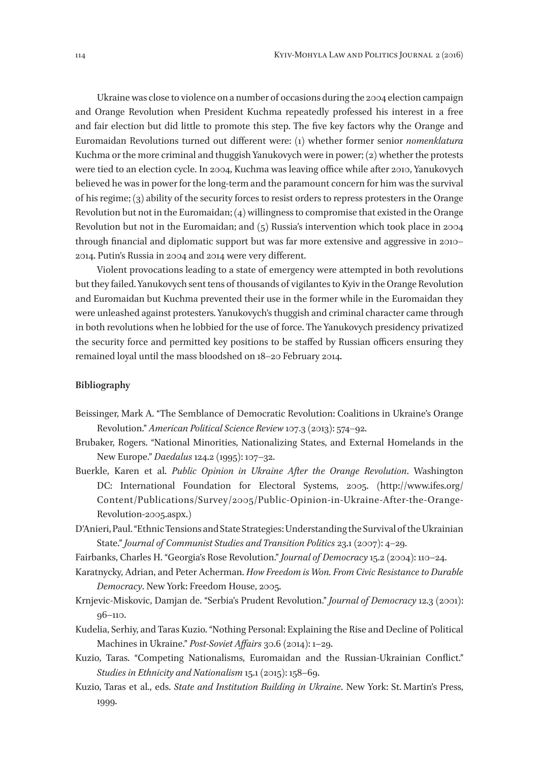Ukraine was close to violence on a number of occasions during the 2004 election campaign and Orange Revolution when President Kuchma repeatedly professed his interest in a free and fair election but did little to promote this step. The five key factors why the Orange and Euromaidan Revolutions turned out different were: (1) whether former senior *nomenklatura* Kuchma or the more criminal and thuggish Yanukovych were in power; (2) whether the protests were tied to an election cycle. In 2004, Kuchma was leaving office while after 2010, Yanukovych believed he was in power for the long-term and the paramount concern for him was the survival of his regime; (3) ability of the security forces to resist orders to repress protesters in the Orange Revolution but not in the Euromaidan; (4) willingness to compromise that existed in the Orange Revolution but not in the Euromaidan; and (5) Russia's intervention which took place in 2004 through financial and diplomatic support but was far more extensive and aggressive in 2010– 2014. Putin's Russia in 2004 and 2014 were very different.

Violent provocations leading to a state of emergency were attempted in both revolutions but they failed. Yanukovych sent tens of thousands of vigilantes to Kyiv in the Orange Revolution and Euromaidan but Kuchma prevented their use in the former while in the Euromaidan they were unleashed against protesters. Yanukovych's thuggish and criminal character came through in both revolutions when he lobbied for the use of force. The Yanukovych presidency privatized the security force and permitted key positions to be staffed by Russian officers ensuring they remained loyal until the mass bloodshed on 18–20 February 2014.

#### **Bibliography**

- Beissinger, Mark A. "The Semblance of Democratic Revolution: Coalitions in Ukraine's Orange Revolution." *American Political Science Review* 107.3 (2013): 574–92.
- Brubaker, Rogers. "National Minorities, Nationalizing States, and External Homelands in the New Europe." *Daedalus* 124.2 (1995): 107**–**32.
- Buerkle, Karen et al. *Public Opinion in Ukraine After the Orange Revolution*. Washington DC: International Foundation for Electoral Systems, 2005. (http://www.ifes.org/ Content/Publications/Survey/2005/Public-Opinion-in-Ukraine-After-the-Orange-Revolution‑2005.aspx.)
- D'Anieri, Paul. "Ethnic Tensions and State Strategies: Understanding the Survival of the Ukrainian State." *Journal of Communist Studies and Transition Politics* 23.1 (2007): 4*–*29.
- Fairbanks, Charles H. "Georgia's Rose Revolution." *Journal of Democracy* 15.2 (2004): 110**–**24.
- Karatnycky, Adrian, and Peter Acherman. *How Freedom is Won. From Civic Resistance to Durable Democracy*. New York: Freedom House, 2005.
- Krnjevic-Miskovic, Damjan de. "Serbia's Prudent Revolution." *Journal of Democracy* 12.3 (2001): 96**–**110.
- Kudelia, Serhiy, and Taras Kuzio. "Nothing Personal: Explaining the Rise and Decline of Political Machines in Ukraine." *Post-Soviet Affairs* 30.6 (2014): 1**–**29.
- Kuzio, Taras. "Competing Nationalisms, Euromaidan and the Russian-Ukrainian Conflict." *Studies in Ethnicity and Nationalism* 15.1 (2015): 158**–**69.
- Kuzio, Taras et al., eds. *State and Institution Building in Ukraine*. New York: St. Martin's Press, 1999.